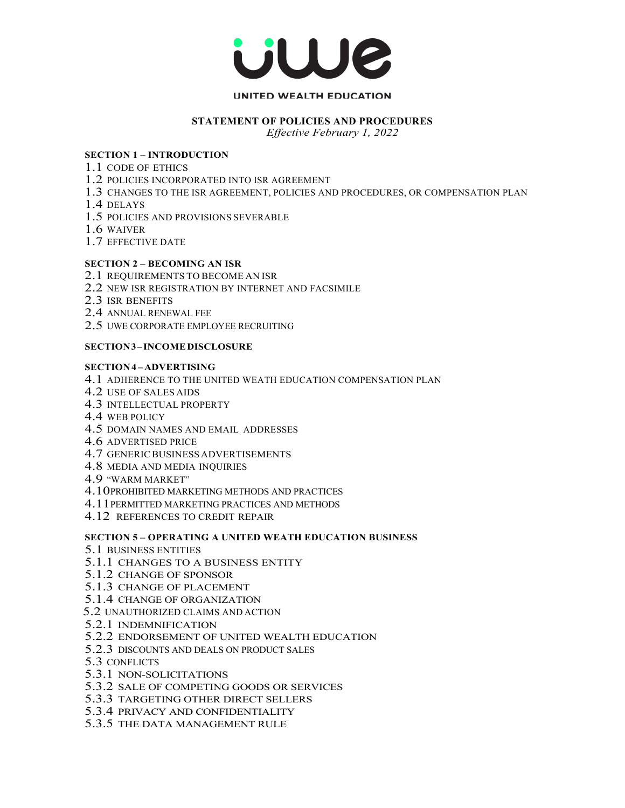

#### **UNITED WEALTH EDUCATION**

#### **STATEMENT OF POLICIES AND PROCEDURES**

*Effective February 1, 2022*

#### **SECTION 1 – INTRODUCTION**

- 1.1 CODE OF ETHICS
- 1.2 POLICIES INCORPORATED INTO ISR AGREEMENT
- 1.3 CHANGES TO THE ISR AGREEMENT, POLICIES AND PROCEDURES, OR COMPENSATION PLAN
- 1.4 DELAYS
- 1.5 POLICIES AND PROVISIONS SEVERABLE
- 1.6 WAIVER
- 1.7 EFFECTIVE DATE

#### **SECTION 2 – BECOMING AN ISR**

- 2.1 REQUIREMENTS TO BECOME AN ISR
- 2.2 NEW ISR REGISTRATION BY INTERNET AND FACSIMILE
- 2.3 ISR BENEFITS
- 2.4 ANNUAL RENEWAL FEE
- 2.5 UWE CORPORATE EMPLOYEE RECRUITING

#### **SECTION3–INCOMEDISCLOSURE**

#### **SECTION4 –ADVERTISING**

- 4.1 ADHERENCE TO THE UNITED WEATH EDUCATION COMPENSATION PLAN
- 4.2 USE OF SALES AIDS
- 4.3 INTELLECTUAL PROPERTY
- 4.4 WEB POLICY
- 4.5 DOMAIN NAMES AND EMAIL ADDRESSES
- 4.6 ADVERTISED PRICE
- 4.7 GENERICBUSINESSADVERTISEMENTS
- 4.8 MEDIA AND MEDIA INQUIRIES
- 4.9 "WARM MARKET"
- 4.10PROHIBITED MARKETING METHODS AND PRACTICES
- 4.11PERMITTED MARKETING PRACTICES AND METHODS
- 4.12 REFERENCES TO CREDIT REPAIR

#### **SECTION 5 – OPERATING A UNITED WEATH EDUCATION BUSINESS**

- 5.1 BUSINESS ENTITIES
- 5.1.1 CHANGES TO A BUSINESS ENTITY
- 5.1.2 CHANGE OF SPONSOR
- 5.1.3 CHANGE OF PLACEMENT
- 5.1.4 CHANGE OF ORGANIZATION
- 5.2 UNAUTHORIZED CLAIMS AND ACTION
- 5.2.1 INDEMNIFICATION
- 5.2.2 ENDORSEMENT OF UNITED WEALTH EDUCATION
- 5.2.3 DISCOUNTS AND DEALS ON PRODUCT SALES
- 5.3 CONFLICTS
- 5.3.1 NON-SOLICITATIONS
- 5.3.2 SALE OF COMPETING GOODS OR SERVICES
- 5.3.3 TARGETING OTHER DIRECT SELLERS
- 5.3.4 PRIVACY AND CONFIDENTIALITY
- 5.3.5 THE DATA MANAGEMENT RULE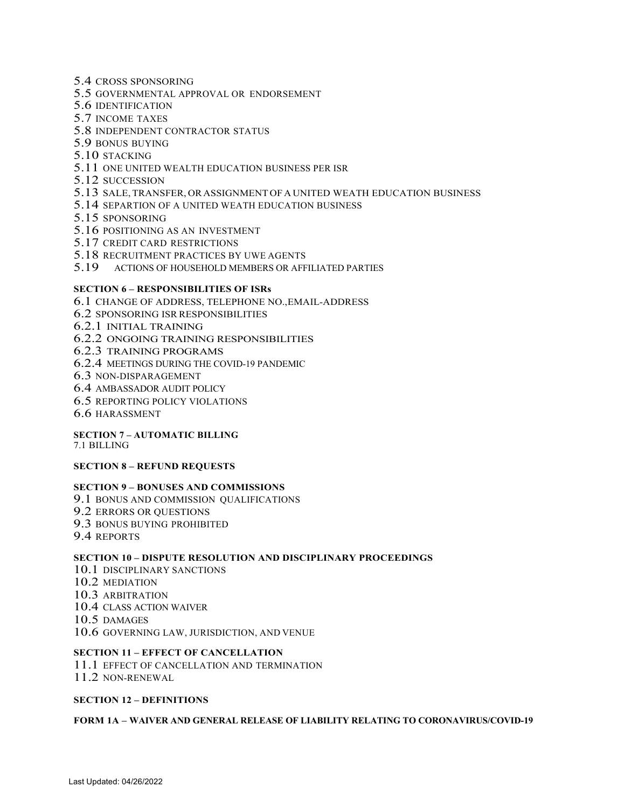- 5.4 CROSS SPONSORING
- 5.5 GOVERNMENTAL APPROVAL OR ENDORSEMENT
- 5.6 IDENTIFICATION
- 5.7 INCOME TAXES
- 5.8 INDEPENDENT CONTRACTOR STATUS
- 5.9 BONUS BUYING
- 5.10 STACKING
- 5.11 ONE UNITED WEALTH EDUCATION BUSINESS PER ISR
- 5.12 SUCCESSION
- 5.13 SALE, TRANSFER, OR ASSIGNMENTOF <sup>A</sup> UNITED WEATH EDUCATION BUSINESS
- 5.14 SEPARTION OF A UNITED WEATH EDUCATION BUSINESS
- 5.15 SPONSORING
- 5.16 POSITIONING AS AN INVESTMENT
- 5.17 CREDIT CARD RESTRICTIONS
- 5.18 RECRUITMENT PRACTICES BY UWE AGENTS
- 5.19 ACTIONS OF HOUSEHOLD MEMBERS OR AFFILIATED PARTIES

#### **SECTION 6 – RESPONSIBILITIES OF ISRs**

- 6.1 CHANGE OF ADDRESS, TELEPHONE NO.,EMAIL-ADDRESS
- 6.2 SPONSORING ISR RESPONSIBILITIES
- 6.2.1 INITIAL TRAINING
- 6.2.2 ONGOING TRAINING RESPONSIBILITIES
- 6.2.3 TRAINING PROGRAMS
- 6.2.4 MEETINGS DURING THE COVID-19 PANDEMIC
- 6.3 NON-DISPARAGEMENT
- 6.4 AMBASSADOR AUDIT POLICY
- 6.5 REPORTING POLICY VIOLATIONS
- 6.6 HARASSMENT

#### **SECTION 7 – AUTOMATIC BILLING**

7.1 BILLING

#### **SECTION 8 – REFUND REQUESTS**

#### **SECTION 9 – BONUSES AND COMMISSIONS**

- 9.1 BONUS AND COMMISSION QUALIFICATIONS
- 9.2 ERRORS OR QUESTIONS
- 9.3 BONUS BUYING PROHIBITED
- 9.4 REPORTS

#### **SECTION 10 – DISPUTE RESOLUTION AND DISCIPLINARY PROCEEDINGS**

- 10.1 DISCIPLINARY SANCTIONS
- 10.2 MEDIATION
- 10.3 ARBITRATION
- 10.4 CLASS ACTION WAIVER
- 10.5 DAMAGES
- 10.6 GOVERNING LAW, JURISDICTION, AND VENUE

#### **SECTION 11 – EFFECT OF CANCELLATION**

- 11.1 EFFECT OF CANCELLATION AND TERMINATION
- 11.2 NON-RENEWAL

#### **SECTION 12 – DEFINITIONS**

#### **FORM 1A – WAIVER AND GENERAL RELEASE OF LIABILITY RELATING TO CORONAVIRUS/COVID-19**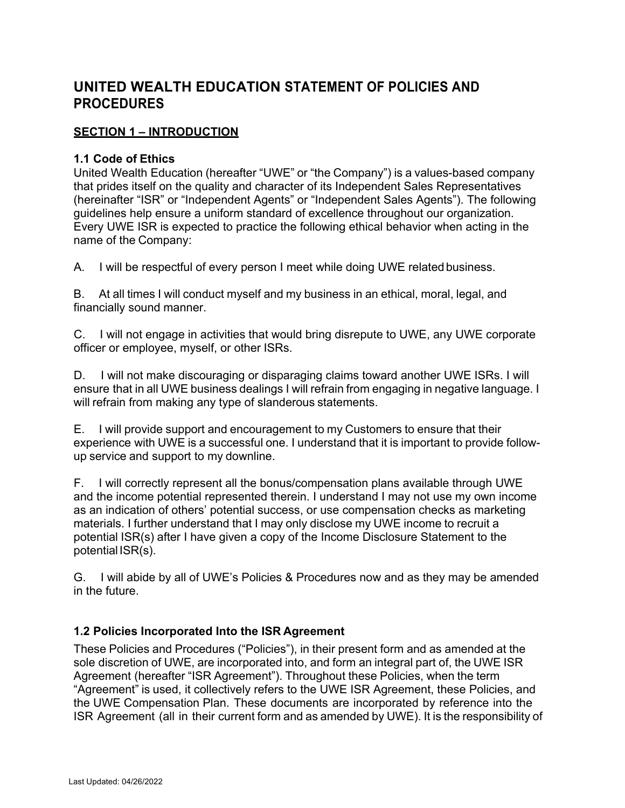# **UNITED WEALTH EDUCATION STATEMENT OF POLICIES AND PROCEDURES**

# **SECTION 1 – INTRODUCTION**

# **1.1 Code of Ethics**

United Wealth Education (hereafter "UWE" or "the Company") is a values-based company that prides itself on the quality and character of its Independent Sales Representatives (hereinafter "ISR" or "Independent Agents" or "Independent Sales Agents"). The following guidelines help ensure a uniform standard of excellence throughout our organization. Every UWE ISR is expected to practice the following ethical behavior when acting in the name of the Company:

A. I will be respectful of every person I meet while doing UWE relatedbusiness.

B. At all times I will conduct myself and my business in an ethical, moral, legal, and financially sound manner.

C. I will not engage in activities that would bring disrepute to UWE, any UWE corporate officer or employee, myself, or other ISRs.

D. I will not make discouraging or disparaging claims toward another UWE ISRs. I will ensure that in all UWE business dealings I will refrain from engaging in negative language. I will refrain from making any type of slanderous statements.

E. I will provide support and encouragement to my Customers to ensure that their experience with UWE is a successful one. I understand that it is important to provide followup service and support to my downline.

F. I will correctly represent all the bonus/compensation plans available through UWE and the income potential represented therein. I understand I may not use my own income as an indication of others' potential success, or use compensation checks as marketing materials. I further understand that I may only disclose my UWE income to recruit a potential ISR(s) after I have given a copy of the Income Disclosure Statement to the potential ISR(s).

G. I will abide by all of UWE's Policies & Procedures now and as they may be amended in the future.

# **1.2 Policies Incorporated Into the ISR Agreement**

These Policies and Procedures ("Policies"), in their present form and as amended at the sole discretion of UWE, are incorporated into, and form an integral part of, the UWE ISR Agreement (hereafter "ISR Agreement"). Throughout these Policies, when the term "Agreement" is used, it collectively refers to the UWE ISR Agreement, these Policies, and the UWE Compensation Plan. These documents are incorporated by reference into the ISR Agreement (all in their current form and as amended by UWE). It is the responsibility of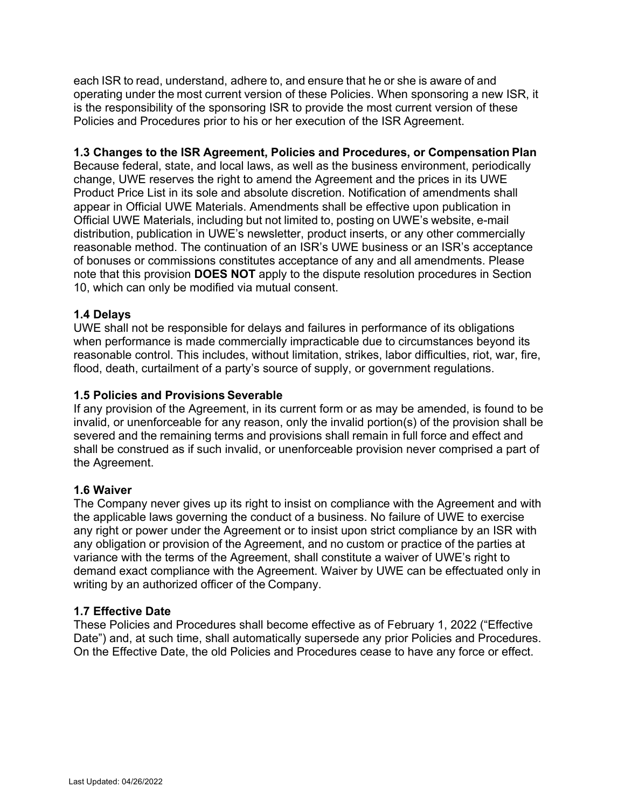each ISR to read, understand, adhere to, and ensure that he or she is aware of and operating under the most current version of these Policies. When sponsoring a new ISR, it is the responsibility of the sponsoring ISR to provide the most current version of these Policies and Procedures prior to his or her execution of the ISR Agreement.

#### **1.3 Changes to the ISR Agreement, Policies and Procedures, or Compensation Plan**

Because federal, state, and local laws, as well as the business environment, periodically change, UWE reserves the right to amend the Agreement and the prices in its UWE Product Price List in its sole and absolute discretion. Notification of amendments shall appear in Official UWE Materials. Amendments shall be effective upon publication in Official UWE Materials, including but not limited to, posting on UWE's website, e-mail distribution, publication in UWE's newsletter, product inserts, or any other commercially reasonable method. The continuation of an ISR's UWE business or an ISR's acceptance of bonuses or commissions constitutes acceptance of any and all amendments. Please note that this provision **DOES NOT** apply to the dispute resolution procedures in Section 10, which can only be modified via mutual consent.

## **1.4 Delays**

UWE shall not be responsible for delays and failures in performance of its obligations when performance is made commercially impracticable due to circumstances beyond its reasonable control. This includes, without limitation, strikes, labor difficulties, riot, war, fire, flood, death, curtailment of a party's source of supply, or government regulations.

#### **1.5 Policies and Provisions Severable**

If any provision of the Agreement, in its current form or as may be amended, is found to be invalid, or unenforceable for any reason, only the invalid portion(s) of the provision shall be severed and the remaining terms and provisions shall remain in full force and effect and shall be construed as if such invalid, or unenforceable provision never comprised a part of the Agreement.

## **1.6 Waiver**

The Company never gives up its right to insist on compliance with the Agreement and with the applicable laws governing the conduct of a business. No failure of UWE to exercise any right or power under the Agreement or to insist upon strict compliance by an ISR with any obligation or provision of the Agreement, and no custom or practice of the parties at variance with the terms of the Agreement, shall constitute a waiver of UWE's right to demand exact compliance with the Agreement. Waiver by UWE can be effectuated only in writing by an authorized officer of the Company.

#### **1.7 Effective Date**

These Policies and Procedures shall become effective as of February 1, 2022 ("Effective Date") and, at such time, shall automatically supersede any prior Policies and Procedures. On the Effective Date, the old Policies and Procedures cease to have any force or effect.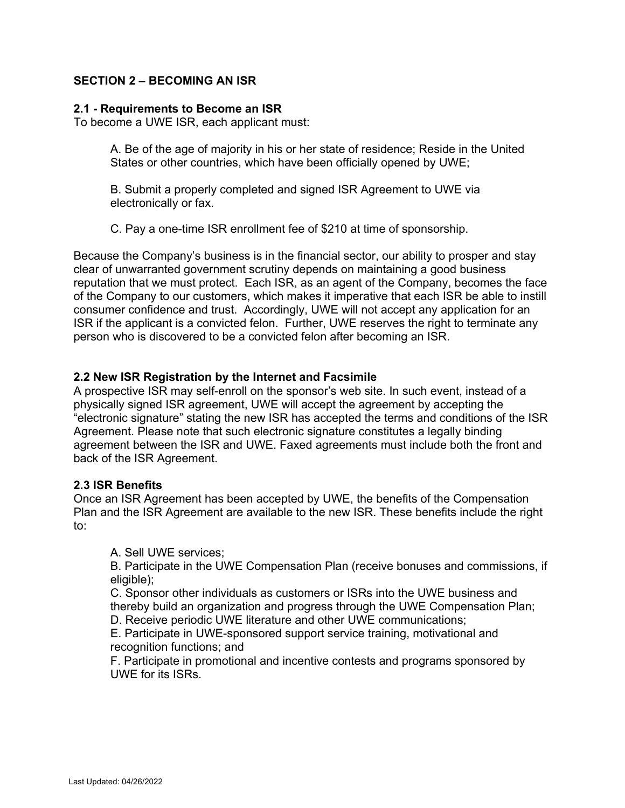# **SECTION 2 – BECOMING AN ISR**

#### **2.1 - Requirements to Become an ISR**

To become a UWE ISR, each applicant must:

A. Be of the age of majority in his or her state of residence; Reside in the United States or other countries, which have been officially opened by UWE;

B. Submit a properly completed and signed ISR Agreement to UWE via electronically or fax.

C. Pay a one-time ISR enrollment fee of \$210 at time of sponsorship.

Because the Company's business is in the financial sector, our ability to prosper and stay clear of unwarranted government scrutiny depends on maintaining a good business reputation that we must protect. Each ISR, as an agent of the Company, becomes the face of the Company to our customers, which makes it imperative that each ISR be able to instill consumer confidence and trust. Accordingly, UWE will not accept any application for an ISR if the applicant is a convicted felon. Further, UWE reserves the right to terminate any person who is discovered to be a convicted felon after becoming an ISR.

## **2.2 New ISR Registration by the Internet and Facsimile**

A prospective ISR may self-enroll on the sponsor's web site. In such event, instead of a physically signed ISR agreement, UWE will accept the agreement by accepting the "electronic signature" stating the new ISR has accepted the terms and conditions of the ISR Agreement. Please note that such electronic signature constitutes a legally binding agreement between the ISR and UWE. Faxed agreements must include both the front and back of the ISR Agreement.

#### **2.3 ISR Benefits**

Once an ISR Agreement has been accepted by UWE, the benefits of the Compensation Plan and the ISR Agreement are available to the new ISR. These benefits include the right to:

A. Sell UWE services;

B. Participate in the UWE Compensation Plan (receive bonuses and commissions, if eligible);

C. Sponsor other individuals as customers or ISRs into the UWE business and thereby build an organization and progress through the UWE Compensation Plan; D. Receive periodic UWE literature and other UWE communications;

E. Participate in UWE-sponsored support service training, motivational and recognition functions; and

F. Participate in promotional and incentive contests and programs sponsored by UWE for its ISRs.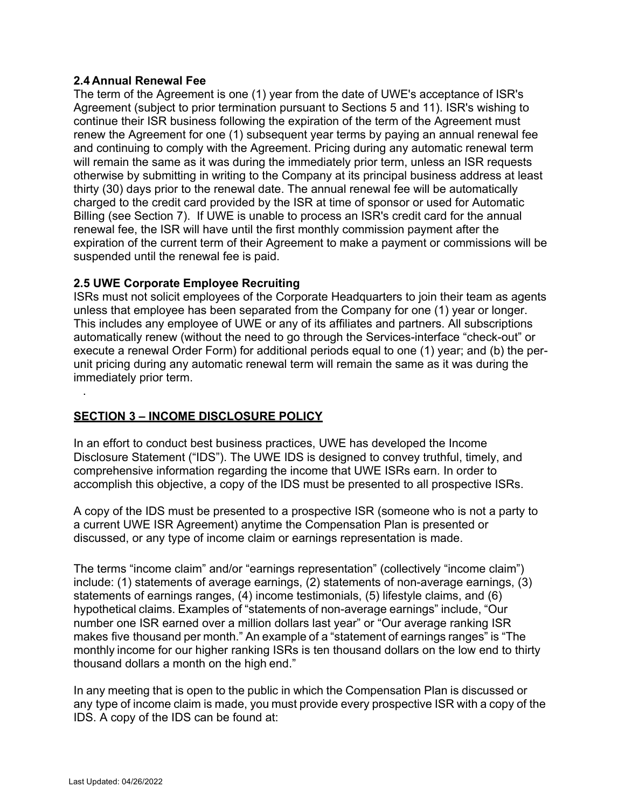## **2.4 Annual Renewal Fee**

The term of the Agreement is one (1) year from the date of UWE's acceptance of ISR's Agreement (subject to prior termination pursuant to Sections 5 and 11). ISR's wishing to continue their ISR business following the expiration of the term of the Agreement must renew the Agreement for one (1) subsequent year terms by paying an annual renewal fee and continuing to comply with the Agreement. Pricing during any automatic renewal term will remain the same as it was during the immediately prior term, unless an ISR requests otherwise by submitting in writing to the Company at its principal business address at least thirty (30) days prior to the renewal date. The annual renewal fee will be automatically charged to the credit card provided by the ISR at time of sponsor or used for Automatic Billing (see Section 7). If UWE is unable to process an ISR's credit card for the annual renewal fee, the ISR will have until the first monthly commission payment after the expiration of the current term of their Agreement to make a payment or commissions will be suspended until the renewal fee is paid.

## **2.5 UWE Corporate Employee Recruiting**

ISRs must not solicit employees of the Corporate Headquarters to join their team as agents unless that employee has been separated from the Company for one (1) year or longer. This includes any employee of UWE or any of its affiliates and partners. All subscriptions automatically renew (without the need to go through the Services-interface "check-out" or execute a renewal Order Form) for additional periods equal to one (1) year; and (b) the perunit pricing during any automatic renewal term will remain the same as it was during the immediately prior term.

## **SECTION 3 – INCOME DISCLOSURE POLICY**

In an effort to conduct best business practices, UWE has developed the Income Disclosure Statement ("IDS"). The UWE IDS is designed to convey truthful, timely, and comprehensive information regarding the income that UWE ISRs earn. In order to accomplish this objective, a copy of the IDS must be presented to all prospective ISRs.

A copy of the IDS must be presented to a prospective ISR (someone who is not a party to a current UWE ISR Agreement) anytime the Compensation Plan is presented or discussed, or any type of income claim or earnings representation is made.

The terms "income claim" and/or "earnings representation" (collectively "income claim") include: (1) statements of average earnings, (2) statements of non-average earnings, (3) statements of earnings ranges, (4) income testimonials, (5) lifestyle claims, and (6) hypothetical claims. Examples of "statements of non-average earnings" include, "Our number one ISR earned over a million dollars last year" or "Our average ranking ISR makes five thousand per month." An example of a "statement of earnings ranges" is "The monthly income for our higher ranking ISRs is ten thousand dollars on the low end to thirty thousand dollars a month on the high end."

In any meeting that is open to the public in which the Compensation Plan is discussed or any type of income claim is made, you must provide every prospective ISR with a copy of the IDS. A copy of the IDS can be found at:

.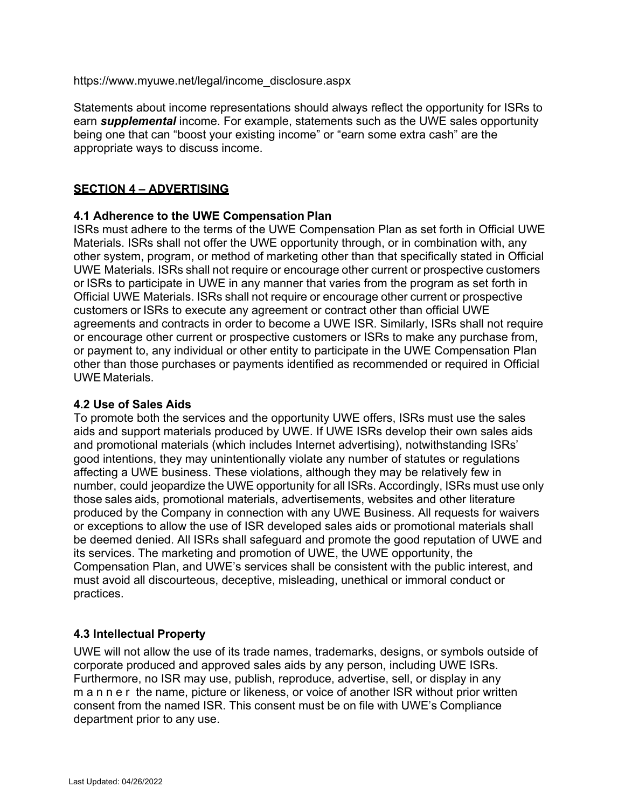https://www.myuwe.net/legal/income\_disclosure.aspx

Statements about income representations should always reflect the opportunity for ISRs to earn *supplemental* income. For example, statements such as the UWE sales opportunity being one that can "boost your existing income" or "earn some extra cash" are the appropriate ways to discuss income.

# **SECTION 4 – ADVERTISING**

# **4.1 Adherence to the UWE Compensation Plan**

ISRs must adhere to the terms of the UWE Compensation Plan as set forth in Official UWE Materials. ISRs shall not offer the UWE opportunity through, or in combination with, any other system, program, or method of marketing other than that specifically stated in Official UWE Materials. ISRs shall not require or encourage other current or prospective customers or ISRs to participate in UWE in any manner that varies from the program as set forth in Official UWE Materials. ISRs shall not require or encourage other current or prospective customers or ISRs to execute any agreement or contract other than official UWE agreements and contracts in order to become a UWE ISR. Similarly, ISRs shall not require or encourage other current or prospective customers or ISRs to make any purchase from, or payment to, any individual or other entity to participate in the UWE Compensation Plan other than those purchases or payments identified as recommended or required in Official UWE Materials.

# **4.2 Use of Sales Aids**

To promote both the services and the opportunity UWE offers, ISRs must use the sales aids and support materials produced by UWE. If UWE ISRs develop their own sales aids and promotional materials (which includes Internet advertising), notwithstanding ISRs' good intentions, they may unintentionally violate any number of statutes or regulations affecting a UWE business. These violations, although they may be relatively few in number, could jeopardize the UWE opportunity for all ISRs. Accordingly, ISRs must use only those sales aids, promotional materials, advertisements, websites and other literature produced by the Company in connection with any UWE Business. All requests for waivers or exceptions to allow the use of ISR developed sales aids or promotional materials shall be deemed denied. All ISRs shall safeguard and promote the good reputation of UWE and its services. The marketing and promotion of UWE, the UWE opportunity, the Compensation Plan, and UWE's services shall be consistent with the public interest, and must avoid all discourteous, deceptive, misleading, unethical or immoral conduct or practices.

# **4.3 Intellectual Property**

UWE will not allow the use of its trade names, trademarks, designs, or symbols outside of corporate produced and approved sales aids by any person, including UWE ISRs. Furthermore, no ISR may use, publish, reproduce, advertise, sell, or display in any m a n n e r the name, picture or likeness, or voice of another ISR without prior written consent from the named ISR. This consent must be on file with UWE's Compliance department prior to any use.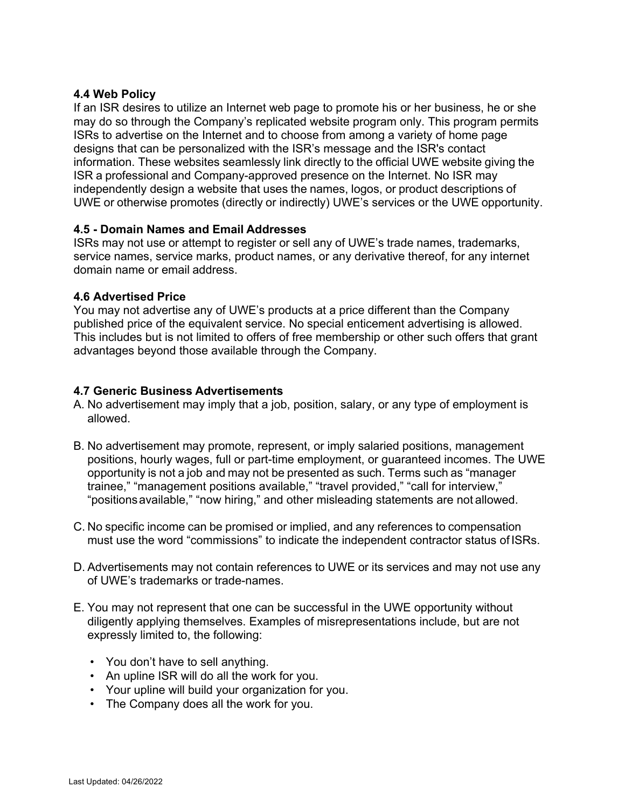## **4.4 Web Policy**

If an ISR desires to utilize an Internet web page to promote his or her business, he or she may do so through the Company's replicated website program only. This program permits ISRs to advertise on the Internet and to choose from among a variety of home page designs that can be personalized with the ISR's message and the ISR's contact information. These websites seamlessly link directly to the official UWE website giving the ISR a professional and Company-approved presence on the Internet. No ISR may independently design a website that uses the names, logos, or product descriptions of UWE or otherwise promotes (directly or indirectly) UWE's services or the UWE opportunity.

#### **4.5 - Domain Names and Email Addresses**

ISRs may not use or attempt to register or sell any of UWE's trade names, trademarks, service names, service marks, product names, or any derivative thereof, for any internet domain name or email address.

#### **4.6 Advertised Price**

You may not advertise any of UWE's products at a price different than the Company published price of the equivalent service. No special enticement advertising is allowed. This includes but is not limited to offers of free membership or other such offers that grant advantages beyond those available through the Company.

#### **4.7 Generic Business Advertisements**

- A. No advertisement may imply that a job, position, salary, or any type of employment is allowed.
- B. No advertisement may promote, represent, or imply salaried positions, management positions, hourly wages, full or part-time employment, or guaranteed incomes. The UWE opportunity is not a job and may not be presented as such. Terms such as "manager trainee," "management positions available," "travel provided," "call for interview," "positionsavailable," "now hiring," and other misleading statements are not allowed.
- C. No specific income can be promised or implied, and any references to compensation must use the word "commissions" to indicate the independent contractor status of ISRs.
- D. Advertisements may not contain references to UWE or its services and may not use any of UWE's trademarks or trade-names.
- E. You may not represent that one can be successful in the UWE opportunity without diligently applying themselves. Examples of misrepresentations include, but are not expressly limited to, the following:
	- You don't have to sell anything.
	- An upline ISR will do all the work for you.
	- Your upline will build your organization for you.
	- The Company does all the work for you.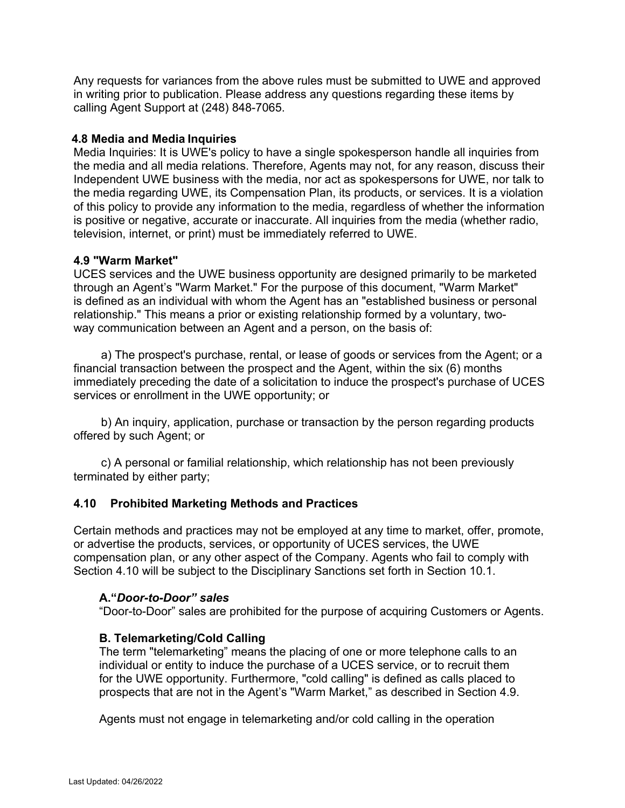Any requests for variances from the above rules must be submitted to UWE and approved in writing prior to publication. Please address any questions regarding these items by calling Agent Support at (248) 848-7065.

# **4.8 Media and Media Inquiries**

Media Inquiries: It is UWE's policy to have a single spokesperson handle all inquiries from the media and all media relations. Therefore, Agents may not, for any reason, discuss their Independent UWE business with the media, nor act as spokespersons for UWE, nor talk to the media regarding UWE, its Compensation Plan, its products, or services. It is a violation of this policy to provide any information to the media, regardless of whether the information is positive or negative, accurate or inaccurate. All inquiries from the media (whether radio, television, internet, or print) must be immediately referred to UWE.

## **4.9 "Warm Market"**

UCES services and the UWE business opportunity are designed primarily to be marketed through an Agent's "Warm Market." For the purpose of this document, "Warm Market" is defined as an individual with whom the Agent has an "established business or personal relationship." This means a prior or existing relationship formed by a voluntary, twoway communication between an Agent and a person, on the basis of:

a) The prospect's purchase, rental, or lease of goods or services from the Agent; or a financial transaction between the prospect and the Agent, within the six (6) months immediately preceding the date of a solicitation to induce the prospect's purchase of UCES services or enrollment in the UWE opportunity; or

b) An inquiry, application, purchase or transaction by the person regarding products offered by such Agent; or

c) A personal or familial relationship, which relationship has not been previously terminated by either party;

## **4.10 Prohibited Marketing Methods and Practices**

Certain methods and practices may not be employed at any time to market, offer, promote, or advertise the products, services, or opportunity of UCES services, the UWE compensation plan, or any other aspect of the Company. Agents who fail to comply with Section 4.10 will be subject to the Disciplinary Sanctions set forth in Section 10.1.

## **A."***Door-to-Door" sales*

"Door-to-Door" sales are prohibited for the purpose of acquiring Customers or Agents.

## **B. Telemarketing/Cold Calling**

The term "telemarketing" means the placing of one or more telephone calls to an individual or entity to induce the purchase of a UCES service, or to recruit them for the UWE opportunity. Furthermore, "cold calling" is defined as calls placed to prospects that are not in the Agent's "Warm Market," as described in Section 4.9.

Agents must not engage in telemarketing and/or cold calling in the operation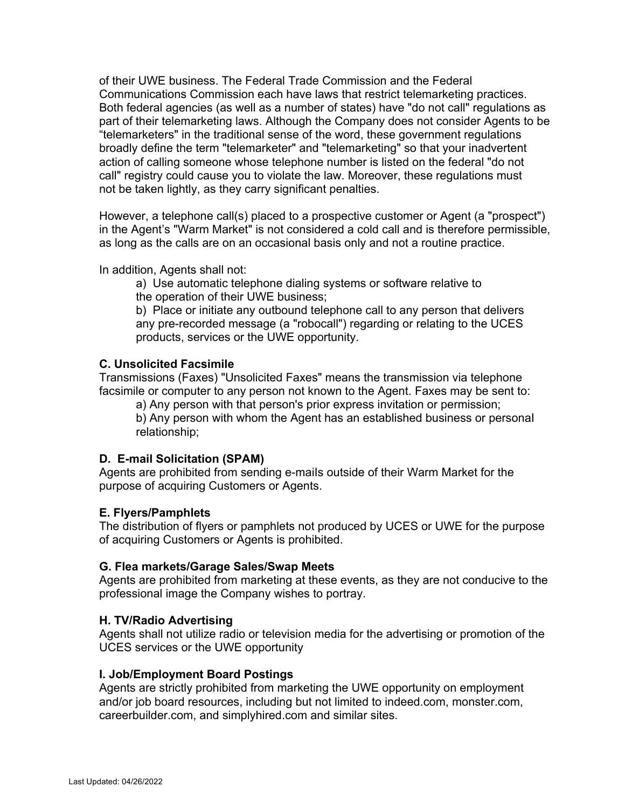of their UWE business. The Federal Trade Commission and the Federal Communications Commission each have laws that restrict telemarketing practices. Both federal agencies (as well as a number of states) have "do not call" regulations as part of their telemarketing laws. Although the Company does not consider Agents to be "telemarketers" in the traditional sense of the word, these government regulations broadly define the term "telemarketer" and "telemarketing" so that your inadvertent action of calling someone whose telephone number is listed on the federal "do not call" registry could cause you to violate the law. Moreover, these regulations must not be taken lightly, as they carry significant penalties.

However, a telephone call(s) placed to a prospective customer or Agent (a "prospect") in the Agent's "Warm Market" is not considered a cold call and is therefore permissible, as long as the calls are on an occasional basis only and not a routine practice.

In addition, Agents shall not:

a) Use automatic telephone dialing systems or software relative to the operation of their UWE business;

b) Place or initiate any outbound telephone call to any person that delivers any pre-recorded message (a "robocall") regarding or relating to the UCES products, services or the UWE opportunity.

#### **C. Unsolicited Facsimile**

Transmissions (Faxes) "Unsolicited Faxes" means the transmission via telephone facsimile or computer to any person not known to the Agent. Faxes may be sent to:

a) Any person with that person's prior express invitation or permission;

b) Any person with whom the Agent has an established business or personaI relationship;

## **D. E-mail Solicitation (SPAM)**

Agents are prohibited from sending e-mails outside of their Warm Market for the purpose of acquiring Customers or Agents.

## **E. Flyers/Pamphlets**

The distribution of flyers or pamphlets not produced by UCES or UWE for the purpose of acquiring Customers or Agents is prohibited.

#### **G. Flea markets/Garage Sales/Swap Meets**

Agents are prohibited from marketing at these events, as they are not conducive to the professional image the Company wishes to portray.

## **H. TV/Radio Advertising**

Agents shall not utilize radio or television media for the advertising or promotion of the UCES services or the UWE opportunity

#### **I. Job/Employment Board Postings**

Agents are strictly prohibited from marketing the UWE opportunity on employment and/or job board resources, including but not limited to indeed.com, monster.com, careerbuilder.com, and simplyhired.com and similar sites.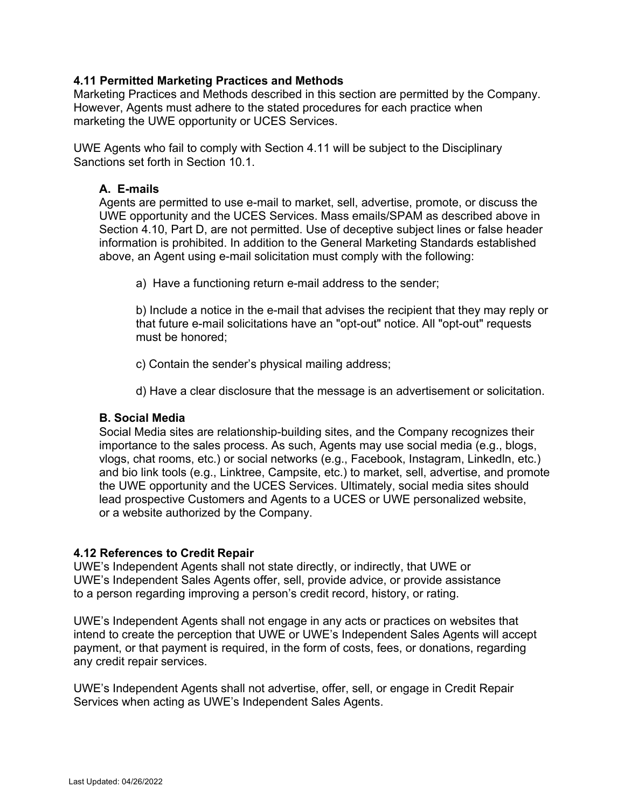# **4.11 Permitted Marketing Practices and Methods**

Marketing Practices and Methods described in this section are permitted by the Company. However, Agents must adhere to the stated procedures for each practice when marketing the UWE opportunity or UCES Services.

UWE Agents who fail to comply with Section 4.11 will be subject to the Disciplinary Sanctions set forth in Section 10.1.

# **A. E-mails**

Agents are permitted to use e-mail to market, sell, advertise, promote, or discuss the UWE opportunity and the UCES Services. Mass emails/SPAM as described above in Section 4.10, Part D, are not permitted. Use of deceptive subject lines or false header information is prohibited. In addition to the General Marketing Standards established above, an Agent using e-mail solicitation must comply with the following:

a) Have a functioning return e-mail address to the sender;

b) Include a notice in the e-mail that advises the recipient that they may reply or that future e-mail solicitations have an "opt-out" notice. All "opt-out" requests must be honored;

c) Contain the sender's physical mailing address;

d) Have a clear disclosure that the message is an advertisement or solicitation.

## **B. Social Media**

Social Media sites are relationship-building sites, and the Company recognizes their importance to the sales process. As such, Agents may use social media (e.g., blogs, vlogs, chat rooms, etc.) or social networks (e.g., Facebook, Instagram, Linkedln, etc.) and bio link tools (e.g., Linktree, Campsite, etc.) to market, sell, advertise, and promote the UWE opportunity and the UCES Services. Ultimately, social media sites should lead prospective Customers and Agents to a UCES or UWE personalized website, or a website authorized by the Company.

## **4.12 References to Credit Repair**

UWE's Independent Agents shall not state directly, or indirectly, that UWE or UWE's Independent Sales Agents offer, sell, provide advice, or provide assistance to a person regarding improving a person's credit record, history, or rating.

UWE's Independent Agents shall not engage in any acts or practices on websites that intend to create the perception that UWE or UWE's Independent Sales Agents will accept payment, or that payment is required, in the form of costs, fees, or donations, regarding any credit repair services.

UWE's Independent Agents shall not advertise, offer, sell, or engage in Credit Repair Services when acting as UWE's Independent Sales Agents.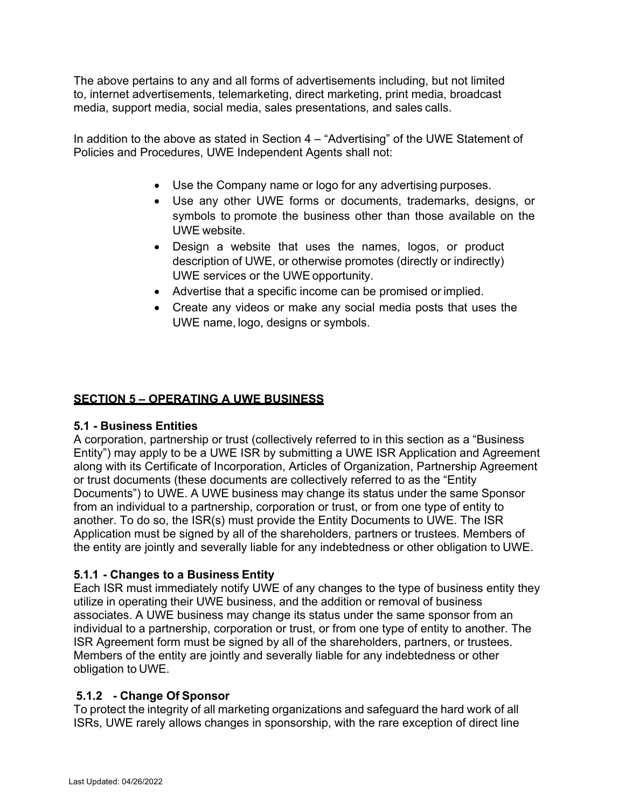The above pertains to any and all forms of advertisements including, but not limited to, internet advertisements, telemarketing, direct marketing, print media, broadcast media, support media, social media, sales presentations, and sales calls.

In addition to the above as stated in Section 4 – "Advertising" of the UWE Statement of Policies and Procedures, UWE Independent Agents shall not:

- Use the Company name or logo for any advertising purposes.
- Use any other UWE forms or documents, trademarks, designs, or symbols to promote the business other than those available on the UWE website.
- Design a website that uses the names, logos, or product description of UWE, or otherwise promotes (directly or indirectly) UWE services or the UWE opportunity.
- Advertise that a specific income can be promised or implied.
- Create any videos or make any social media posts that uses the UWE name, logo, designs or symbols.

# **SECTION 5 – OPERATING A UWE BUSINESS**

## **5.1 - Business Entities**

A corporation, partnership or trust (collectively referred to in this section as a "Business Entity") may apply to be a UWE ISR by submitting a UWE ISR Application and Agreement along with its Certificate of Incorporation, Articles of Organization, Partnership Agreement or trust documents (these documents are collectively referred to as the "Entity Documents") to UWE. A UWE business may change its status under the same Sponsor from an individual to a partnership, corporation or trust, or from one type of entity to another. To do so, the ISR(s) must provide the Entity Documents to UWE. The ISR Application must be signed by all of the shareholders, partners or trustees. Members of the entity are jointly and severally liable for any indebtedness or other obligation to UWE.

# **5.1.1 - Changes to a Business Entity**

Each ISR must immediately notify UWE of any changes to the type of business entity they utilize in operating their UWE business, and the addition or removal of business associates. A UWE business may change its status under the same sponsor from an individual to a partnership, corporation or trust, or from one type of entity to another. The ISR Agreement form must be signed by all of the shareholders, partners, or trustees. Members of the entity are jointly and severally liable for any indebtedness or other obligation to UWE.

# **5.1.2 - Change Of Sponsor**

To protect the integrity of all marketing organizations and safeguard the hard work of all ISRs, UWE rarely allows changes in sponsorship, with the rare exception of direct line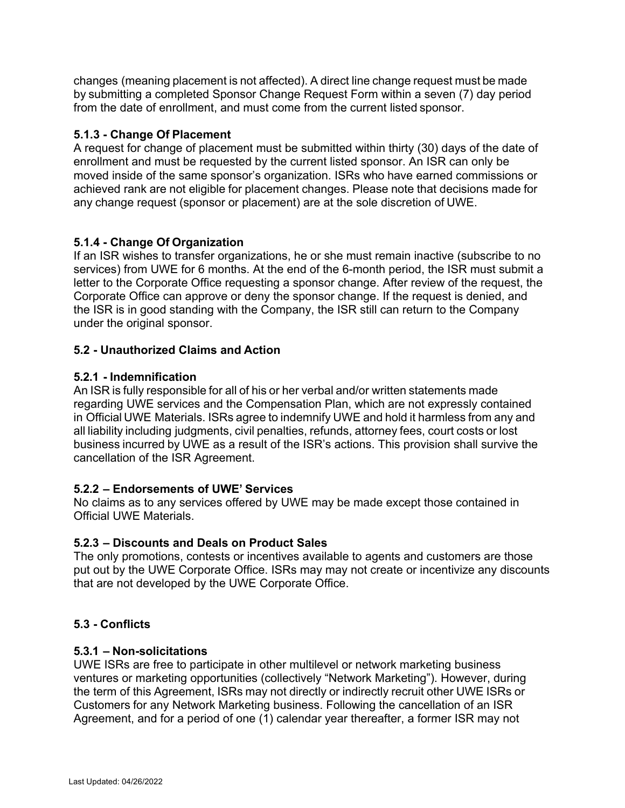changes (meaning placement is not affected). A direct line change request must be made by submitting a completed Sponsor Change Request Form within a seven (7) day period from the date of enrollment, and must come from the current listed sponsor.

# **5.1.3 - Change Of Placement**

A request for change of placement must be submitted within thirty (30) days of the date of enrollment and must be requested by the current listed sponsor. An ISR can only be moved inside of the same sponsor's organization. ISRs who have earned commissions or achieved rank are not eligible for placement changes. Please note that decisions made for any change request (sponsor or placement) are at the sole discretion of UWE.

# **5.1.4 - Change Of Organization**

If an ISR wishes to transfer organizations, he or she must remain inactive (subscribe to no services) from UWE for 6 months. At the end of the 6-month period, the ISR must submit a letter to the Corporate Office requesting a sponsor change. After review of the request, the Corporate Office can approve or deny the sponsor change. If the request is denied, and the ISR is in good standing with the Company, the ISR still can return to the Company under the original sponsor.

# **5.2 - Unauthorized Claims and Action**

# **5.2.1 - Indemnification**

An ISR is fully responsible for all of his or her verbal and/or written statements made regarding UWE services and the Compensation Plan, which are not expressly contained in Official UWE Materials. ISRs agree to indemnify UWE and hold it harmless from any and all liability including judgments, civil penalties, refunds, attorney fees, court costs or lost business incurred by UWE as a result of the ISR's actions. This provision shall survive the cancellation of the ISR Agreement.

## **5.2.2 – Endorsements of UWE' Services**

No claims as to any services offered by UWE may be made except those contained in Official UWE Materials.

## **5.2.3 – Discounts and Deals on Product Sales**

The only promotions, contests or incentives available to agents and customers are those put out by the UWE Corporate Office. ISRs may may not create or incentivize any discounts that are not developed by the UWE Corporate Office.

# **5.3 - Conflicts**

## **5.3.1 – Non-solicitations**

UWE ISRs are free to participate in other multilevel or network marketing business ventures or marketing opportunities (collectively "Network Marketing"). However, during the term of this Agreement, ISRs may not directly or indirectly recruit other UWE ISRs or Customers for any Network Marketing business. Following the cancellation of an ISR Agreement, and for a period of one (1) calendar year thereafter, a former ISR may not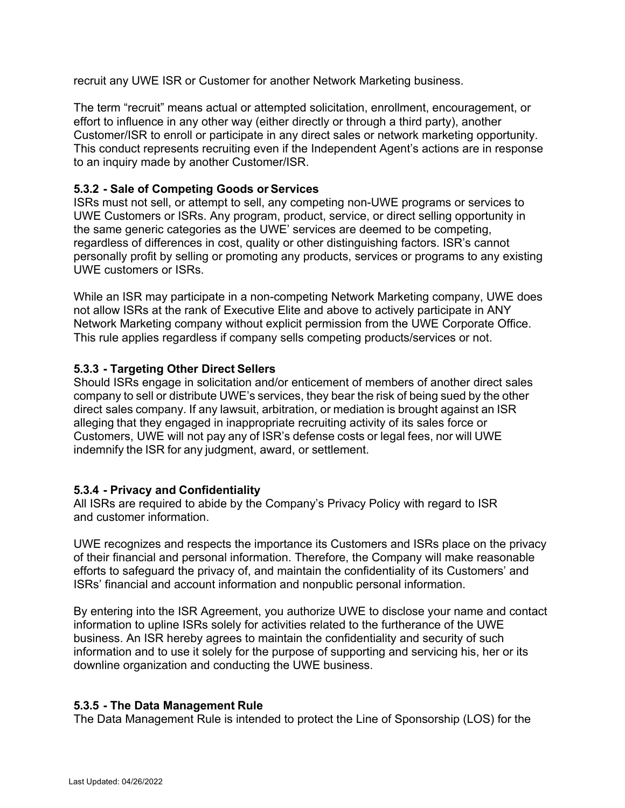recruit any UWE ISR or Customer for another Network Marketing business.

The term "recruit" means actual or attempted solicitation, enrollment, encouragement, or effort to influence in any other way (either directly or through a third party), another Customer/ISR to enroll or participate in any direct sales or network marketing opportunity. This conduct represents recruiting even if the Independent Agent's actions are in response to an inquiry made by another Customer/ISR.

## **5.3.2 - Sale of Competing Goods or Services**

ISRs must not sell, or attempt to sell, any competing non-UWE programs or services to UWE Customers or ISRs. Any program, product, service, or direct selling opportunity in the same generic categories as the UWE' services are deemed to be competing, regardless of differences in cost, quality or other distinguishing factors. ISR's cannot personally profit by selling or promoting any products, services or programs to any existing UWE customers or ISRs.

While an ISR may participate in a non-competing Network Marketing company, UWE does not allow ISRs at the rank of Executive Elite and above to actively participate in ANY Network Marketing company without explicit permission from the UWE Corporate Office. This rule applies regardless if company sells competing products/services or not.

#### **5.3.3 - Targeting Other Direct Sellers**

Should ISRs engage in solicitation and/or enticement of members of another direct sales company to sell or distribute UWE's services, they bear the risk of being sued by the other direct sales company. If any lawsuit, arbitration, or mediation is brought against an ISR alleging that they engaged in inappropriate recruiting activity of its sales force or Customers, UWE will not pay any of ISR's defense costs or legal fees, nor will UWE indemnify the ISR for any judgment, award, or settlement.

#### **5.3.4 - Privacy and Confidentiality**

All ISRs are required to abide by the Company's Privacy Policy with regard to ISR and customer information.

UWE recognizes and respects the importance its Customers and ISRs place on the privacy of their financial and personal information. Therefore, the Company will make reasonable efforts to safeguard the privacy of, and maintain the confidentiality of its Customers' and ISRs' financial and account information and nonpublic personal information.

By entering into the ISR Agreement, you authorize UWE to disclose your name and contact information to upline ISRs solely for activities related to the furtherance of the UWE business. An ISR hereby agrees to maintain the confidentiality and security of such information and to use it solely for the purpose of supporting and servicing his, her or its downline organization and conducting the UWE business.

#### **5.3.5 - The Data Management Rule**

The Data Management Rule is intended to protect the Line of Sponsorship (LOS) for the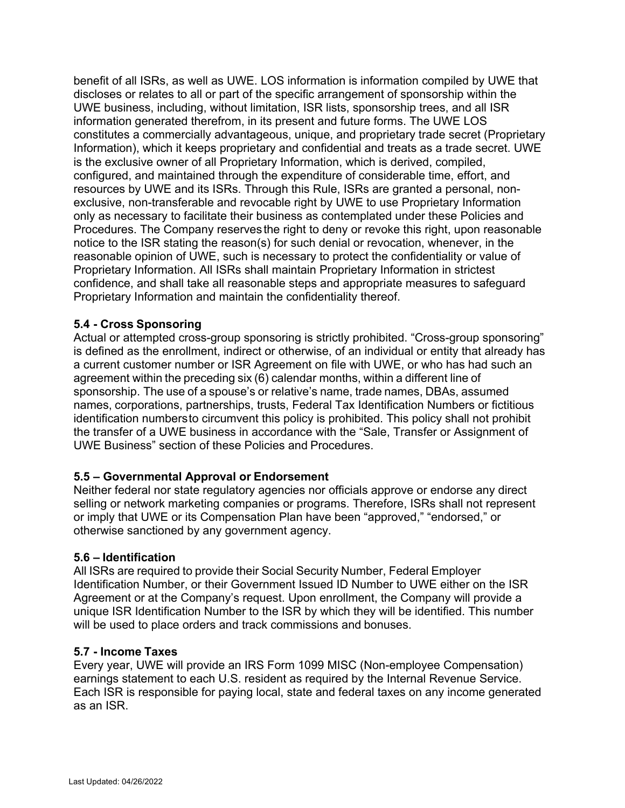benefit of all ISRs, as well as UWE. LOS information is information compiled by UWE that discloses or relates to all or part of the specific arrangement of sponsorship within the UWE business, including, without limitation, ISR lists, sponsorship trees, and all ISR information generated therefrom, in its present and future forms. The UWE LOS constitutes a commercially advantageous, unique, and proprietary trade secret (Proprietary Information), which it keeps proprietary and confidential and treats as a trade secret. UWE is the exclusive owner of all Proprietary Information, which is derived, compiled, configured, and maintained through the expenditure of considerable time, effort, and resources by UWE and its ISRs. Through this Rule, ISRs are granted a personal, nonexclusive, non-transferable and revocable right by UWE to use Proprietary Information only as necessary to facilitate their business as contemplated under these Policies and Procedures. The Company reserves the right to deny or revoke this right, upon reasonable notice to the ISR stating the reason(s) for such denial or revocation, whenever, in the reasonable opinion of UWE, such is necessary to protect the confidentiality or value of Proprietary Information. All ISRs shall maintain Proprietary Information in strictest confidence, and shall take all reasonable steps and appropriate measures to safeguard Proprietary Information and maintain the confidentiality thereof.

## **5.4 - Cross Sponsoring**

Actual or attempted cross-group sponsoring is strictly prohibited. "Cross-group sponsoring" is defined as the enrollment, indirect or otherwise, of an individual or entity that already has a current customer number or ISR Agreement on file with UWE, or who has had such an agreement within the preceding six (6) calendar months, within a different line of sponsorship. The use of a spouse's or relative's name, trade names, DBAs, assumed names, corporations, partnerships, trusts, Federal Tax Identification Numbers or fictitious identification numbersto circumvent this policy is prohibited. This policy shall not prohibit the transfer of a UWE business in accordance with the "Sale, Transfer or Assignment of UWE Business" section of these Policies and Procedures.

## **5.5 – Governmental Approval or Endorsement**

Neither federal nor state regulatory agencies nor officials approve or endorse any direct selling or network marketing companies or programs. Therefore, ISRs shall not represent or imply that UWE or its Compensation Plan have been "approved," "endorsed," or otherwise sanctioned by any government agency.

## **5.6 – Identification**

All ISRs are required to provide their Social Security Number, Federal Employer Identification Number, or their Government Issued ID Number to UWE either on the ISR Agreement or at the Company's request. Upon enrollment, the Company will provide a unique ISR Identification Number to the ISR by which they will be identified. This number will be used to place orders and track commissions and bonuses.

## **5.7 - Income Taxes**

Every year, UWE will provide an IRS Form 1099 MISC (Non-employee Compensation) earnings statement to each U.S. resident as required by the Internal Revenue Service. Each ISR is responsible for paying local, state and federal taxes on any income generated as an ISR.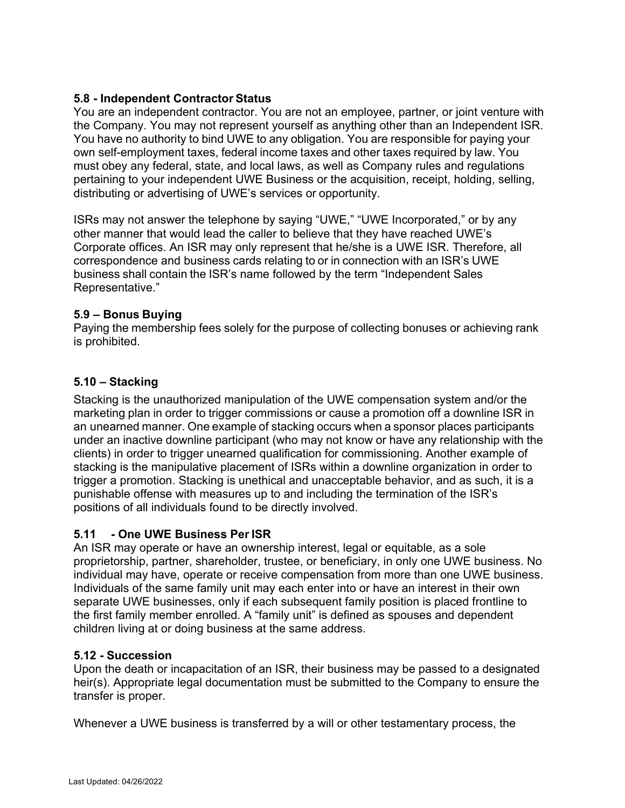# **5.8 - Independent Contractor Status**

You are an independent contractor. You are not an employee, partner, or joint venture with the Company. You may not represent yourself as anything other than an Independent ISR. You have no authority to bind UWE to any obligation. You are responsible for paying your own self-employment taxes, federal income taxes and other taxes required by law. You must obey any federal, state, and local laws, as well as Company rules and regulations pertaining to your independent UWE Business or the acquisition, receipt, holding, selling, distributing or advertising of UWE's services or opportunity.

ISRs may not answer the telephone by saying "UWE," "UWE Incorporated," or by any other manner that would lead the caller to believe that they have reached UWE's Corporate offices. An ISR may only represent that he/she is a UWE ISR. Therefore, all correspondence and business cards relating to or in connection with an ISR's UWE business shall contain the ISR's name followed by the term "Independent Sales Representative."

# **5.9 – Bonus Buying**

Paying the membership fees solely for the purpose of collecting bonuses or achieving rank is prohibited.

# **5.10 – Stacking**

Stacking is the unauthorized manipulation of the UWE compensation system and/or the marketing plan in order to trigger commissions or cause a promotion off a downline ISR in an unearned manner. One example of stacking occurs when a sponsor places participants under an inactive downline participant (who may not know or have any relationship with the clients) in order to trigger unearned qualification for commissioning. Another example of stacking is the manipulative placement of ISRs within a downline organization in order to trigger a promotion. Stacking is unethical and unacceptable behavior, and as such, it is a punishable offense with measures up to and including the termination of the ISR's positions of all individuals found to be directly involved.

# **5.11 - One UWE Business Per ISR**

An ISR may operate or have an ownership interest, legal or equitable, as a sole proprietorship, partner, shareholder, trustee, or beneficiary, in only one UWE business. No individual may have, operate or receive compensation from more than one UWE business. Individuals of the same family unit may each enter into or have an interest in their own separate UWE businesses, only if each subsequent family position is placed frontline to the first family member enrolled. A "family unit" is defined as spouses and dependent children living at or doing business at the same address.

# **5.12 - Succession**

Upon the death or incapacitation of an ISR, their business may be passed to a designated heir(s). Appropriate legal documentation must be submitted to the Company to ensure the transfer is proper.

Whenever a UWE business is transferred by a will or other testamentary process, the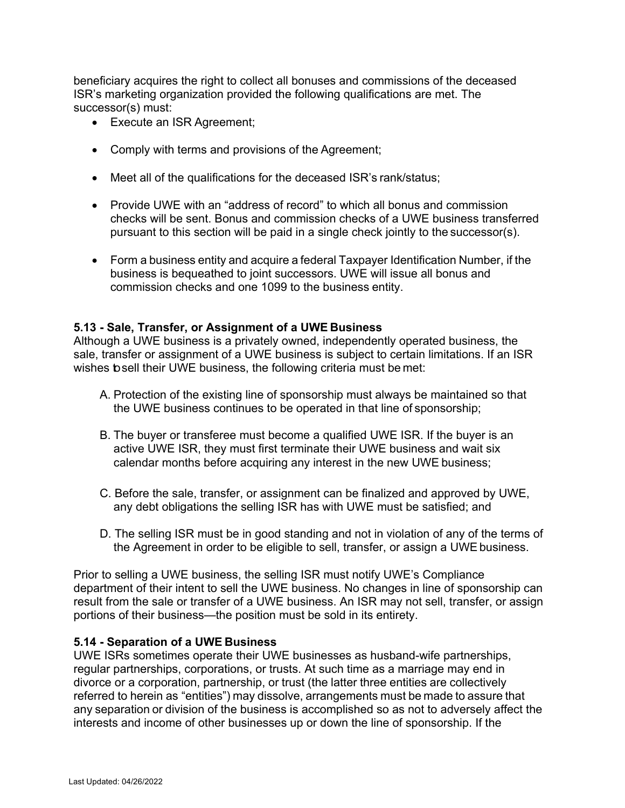beneficiary acquires the right to collect all bonuses and commissions of the deceased ISR's marketing organization provided the following qualifications are met. The successor(s) must:

- Execute an ISR Agreement;
- Comply with terms and provisions of the Agreement;
- Meet all of the qualifications for the deceased ISR's rank/status;
- Provide UWE with an "address of record" to which all bonus and commission checks will be sent. Bonus and commission checks of a UWE business transferred pursuant to this section will be paid in a single check jointly to the successor(s).
- Form a business entity and acquire a federal Taxpayer Identification Number, if the business is bequeathed to joint successors. UWE will issue all bonus and commission checks and one 1099 to the business entity.

#### **5.13 - Sale, Transfer, or Assignment of a UWE Business**

Although a UWE business is a privately owned, independently operated business, the sale, transfer or assignment of a UWE business is subject to certain limitations. If an ISR wishes to sell their UWE business, the following criteria must be met:

- A. Protection of the existing line of sponsorship must always be maintained so that the UWE business continues to be operated in that line of sponsorship;
- B. The buyer or transferee must become a qualified UWE ISR. If the buyer is an active UWE ISR, they must first terminate their UWE business and wait six calendar months before acquiring any interest in the new UWE business;
- C. Before the sale, transfer, or assignment can be finalized and approved by UWE, any debt obligations the selling ISR has with UWE must be satisfied; and
- D. The selling ISR must be in good standing and not in violation of any of the terms of the Agreement in order to be eligible to sell, transfer, or assign a UWE business.

Prior to selling a UWE business, the selling ISR must notify UWE's Compliance department of their intent to sell the UWE business. No changes in line of sponsorship can result from the sale or transfer of a UWE business. An ISR may not sell, transfer, or assign portions of their business—the position must be sold in its entirety.

#### **5.14 - Separation of a UWE Business**

UWE ISRs sometimes operate their UWE businesses as husband-wife partnerships, regular partnerships, corporations, or trusts. At such time as a marriage may end in divorce or a corporation, partnership, or trust (the latter three entities are collectively referred to herein as "entities") may dissolve, arrangements must be made to assure that any separation or division of the business is accomplished so as not to adversely affect the interests and income of other businesses up or down the line of sponsorship. If the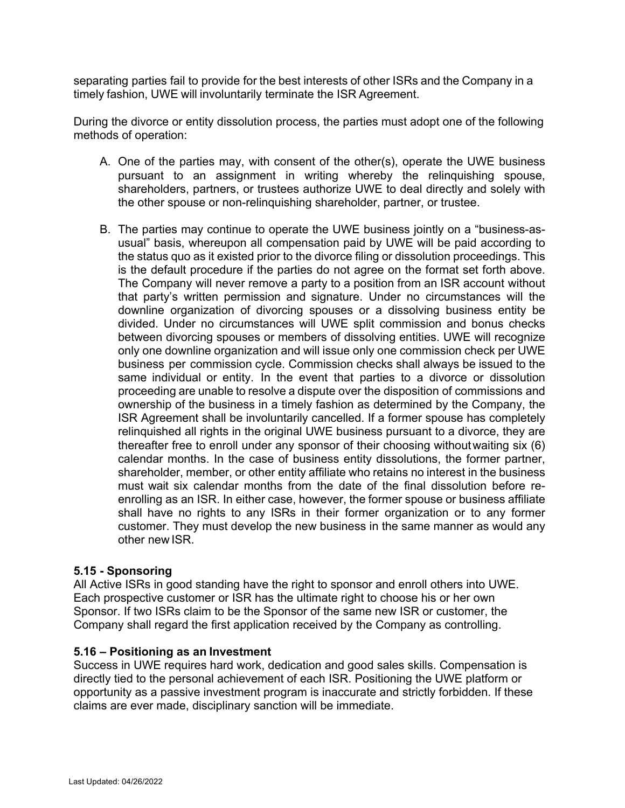separating parties fail to provide for the best interests of other ISRs and the Company in a timely fashion, UWE will involuntarily terminate the ISR Agreement.

During the divorce or entity dissolution process, the parties must adopt one of the following methods of operation:

- A. One of the parties may, with consent of the other(s), operate the UWE business pursuant to an assignment in writing whereby the relinquishing spouse, shareholders, partners, or trustees authorize UWE to deal directly and solely with the other spouse or non-relinquishing shareholder, partner, or trustee.
- B. The parties may continue to operate the UWE business jointly on a "business-asusual" basis, whereupon all compensation paid by UWE will be paid according to the status quo as it existed prior to the divorce filing or dissolution proceedings. This is the default procedure if the parties do not agree on the format set forth above. The Company will never remove a party to a position from an ISR account without that party's written permission and signature. Under no circumstances will the downline organization of divorcing spouses or a dissolving business entity be divided. Under no circumstances will UWE split commission and bonus checks between divorcing spouses or members of dissolving entities. UWE will recognize only one downline organization and will issue only one commission check per UWE business per commission cycle. Commission checks shall always be issued to the same individual or entity. In the event that parties to a divorce or dissolution proceeding are unable to resolve a dispute over the disposition of commissions and ownership of the business in a timely fashion as determined by the Company, the ISR Agreement shall be involuntarily cancelled. If a former spouse has completely relinquished all rights in the original UWE business pursuant to a divorce, they are thereafter free to enroll under any sponsor of their choosing withoutwaiting six (6) calendar months. In the case of business entity dissolutions, the former partner, shareholder, member, or other entity affiliate who retains no interest in the business must wait six calendar months from the date of the final dissolution before reenrolling as an ISR. In either case, however, the former spouse or business affiliate shall have no rights to any ISRs in their former organization or to any former customer. They must develop the new business in the same manner as would any other new ISR.

## **5.15 - Sponsoring**

All Active ISRs in good standing have the right to sponsor and enroll others into UWE. Each prospective customer or ISR has the ultimate right to choose his or her own Sponsor. If two ISRs claim to be the Sponsor of the same new ISR or customer, the Company shall regard the first application received by the Company as controlling.

#### **5.16 – Positioning as an Investment**

Success in UWE requires hard work, dedication and good sales skills. Compensation is directly tied to the personal achievement of each ISR. Positioning the UWE platform or opportunity as a passive investment program is inaccurate and strictly forbidden. If these claims are ever made, disciplinary sanction will be immediate.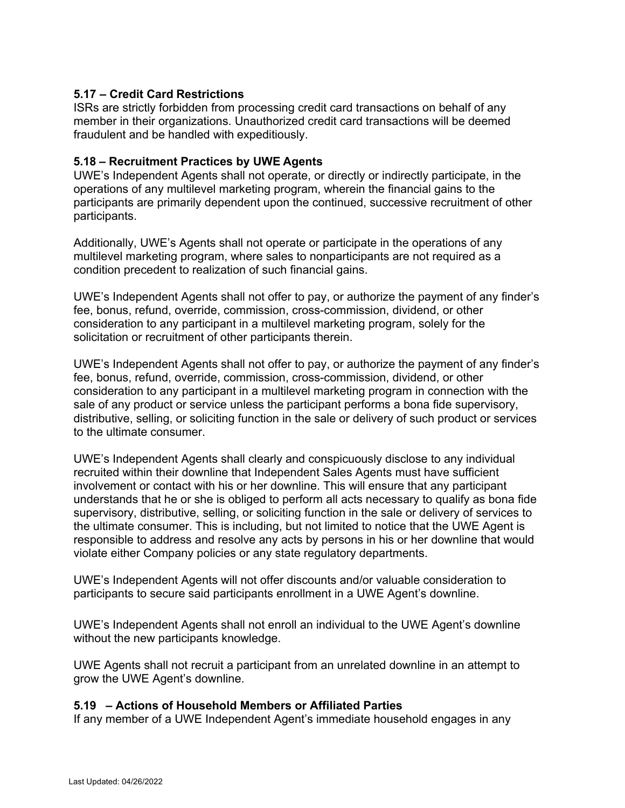# **5.17 – Credit Card Restrictions**

ISRs are strictly forbidden from processing credit card transactions on behalf of any member in their organizations. Unauthorized credit card transactions will be deemed fraudulent and be handled with expeditiously.

#### **5.18 – Recruitment Practices by UWE Agents**

UWE's Independent Agents shall not operate, or directly or indirectly participate, in the operations of any multilevel marketing program, wherein the financial gains to the participants are primarily dependent upon the continued, successive recruitment of other participants.

Additionally, UWE's Agents shall not operate or participate in the operations of any multilevel marketing program, where sales to nonparticipants are not required as a condition precedent to realization of such financial gains.

UWE's Independent Agents shall not offer to pay, or authorize the payment of any finder's fee, bonus, refund, override, commission, cross-commission, dividend, or other consideration to any participant in a multilevel marketing program, solely for the solicitation or recruitment of other participants therein.

UWE's Independent Agents shall not offer to pay, or authorize the payment of any finder's fee, bonus, refund, override, commission, cross-commission, dividend, or other consideration to any participant in a multilevel marketing program in connection with the sale of any product or service unless the participant performs a bona fide supervisory, distributive, selling, or soliciting function in the sale or delivery of such product or services to the ultimate consumer.

UWE's Independent Agents shall clearly and conspicuously disclose to any individual recruited within their downline that Independent Sales Agents must have sufficient involvement or contact with his or her downline. This will ensure that any participant understands that he or she is obliged to perform all acts necessary to qualify as bona fide supervisory, distributive, selling, or soliciting function in the sale or delivery of services to the ultimate consumer. This is including, but not limited to notice that the UWE Agent is responsible to address and resolve any acts by persons in his or her downline that would violate either Company policies or any state regulatory departments.

UWE's Independent Agents will not offer discounts and/or valuable consideration to participants to secure said participants enrollment in a UWE Agent's downline.

UWE's Independent Agents shall not enroll an individual to the UWE Agent's downline without the new participants knowledge.

UWE Agents shall not recruit a participant from an unrelated downline in an attempt to grow the UWE Agent's downline.

#### **5.19 – Actions of Household Members or Affiliated Parties**

If any member of a UWE Independent Agent's immediate household engages in any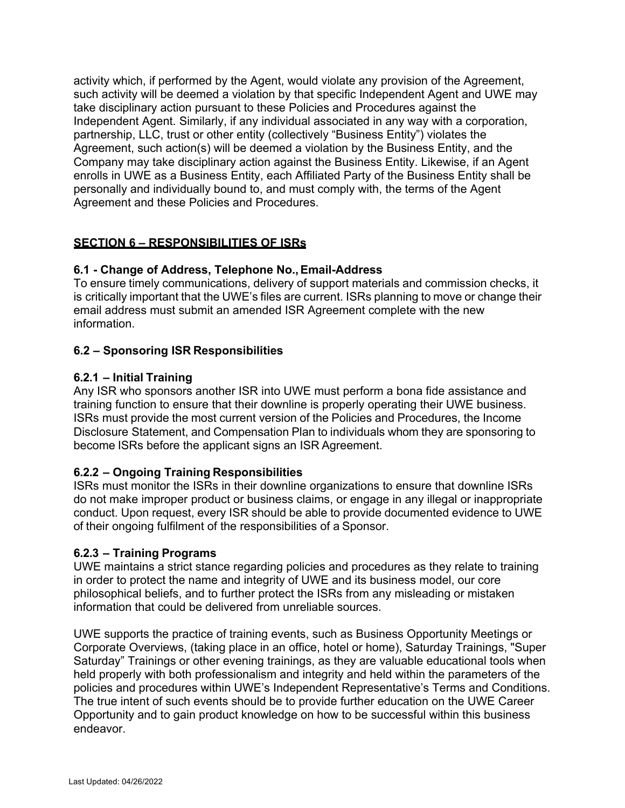activity which, if performed by the Agent, would violate any provision of the Agreement, such activity will be deemed a violation by that specific Independent Agent and UWE may take disciplinary action pursuant to these Policies and Procedures against the Independent Agent. Similarly, if any individual associated in any way with a corporation, partnership, LLC, trust or other entity (collectively "Business Entity") violates the Agreement, such action(s) will be deemed a violation by the Business Entity, and the Company may take disciplinary action against the Business Entity. Likewise, if an Agent enrolls in UWE as a Business Entity, each Affiliated Party of the Business Entity shall be personally and individually bound to, and must comply with, the terms of the Agent Agreement and these Policies and Procedures.

## **SECTION 6 – RESPONSIBILITIES OF ISRs**

## **6.1 - Change of Address, Telephone No.,Email-Address**

To ensure timely communications, delivery of support materials and commission checks, it is critically important that the UWE's files are current. ISRs planning to move or change their email address must submit an amended ISR Agreement complete with the new information.

## **6.2 – Sponsoring ISR Responsibilities**

#### **6.2.1 – Initial Training**

Any ISR who sponsors another ISR into UWE must perform a bona fide assistance and training function to ensure that their downline is properly operating their UWE business. ISRs must provide the most current version of the Policies and Procedures, the Income Disclosure Statement, and Compensation Plan to individuals whom they are sponsoring to become ISRs before the applicant signs an ISR Agreement.

#### **6.2.2 – Ongoing Training Responsibilities**

ISRs must monitor the ISRs in their downline organizations to ensure that downline ISRs do not make improper product or business claims, or engage in any illegal or inappropriate conduct. Upon request, every ISR should be able to provide documented evidence to UWE of their ongoing fulfilment of the responsibilities of a Sponsor.

#### **6.2.3 – Training Programs**

UWE maintains a strict stance regarding policies and procedures as they relate to training in order to protect the name and integrity of UWE and its business model, our core philosophical beliefs, and to further protect the ISRs from any misleading or mistaken information that could be delivered from unreliable sources.

UWE supports the practice of training events, such as Business Opportunity Meetings or Corporate Overviews, (taking place in an office, hotel or home), Saturday Trainings, "Super Saturday" Trainings or other evening trainings, as they are valuable educational tools when held properly with both professionalism and integrity and held within the parameters of the policies and procedures within UWE's Independent Representative's Terms and Conditions. The true intent of such events should be to provide further education on the UWE Career Opportunity and to gain product knowledge on how to be successful within this business endeavor.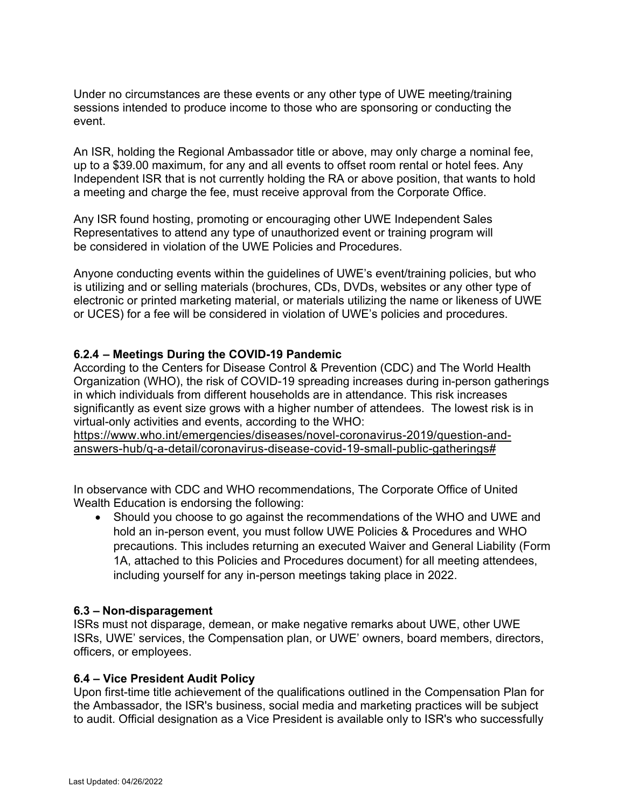Under no circumstances are these events or any other type of UWE meeting/training sessions intended to produce income to those who are sponsoring or conducting the event.

An ISR, holding the Regional Ambassador title or above, may only charge a nominal fee, up to a \$39.00 maximum, for any and all events to offset room rental or hotel fees. Any Independent ISR that is not currently holding the RA or above position, that wants to hold a meeting and charge the fee, must receive approval from the Corporate Office.

Any ISR found hosting, promoting or encouraging other UWE Independent Sales Representatives to attend any type of unauthorized event or training program will be considered in violation of the UWE Policies and Procedures.

Anyone conducting events within the guidelines of UWE's event/training policies, but who is utilizing and or selling materials (brochures, CDs, DVDs, websites or any other type of electronic or printed marketing material, or materials utilizing the name or likeness of UWE or UCES) for a fee will be considered in violation of UWE's policies and procedures.

## **6.2.4 – Meetings During the COVID-19 Pandemic**

According to the Centers for Disease Control & Prevention (CDC) and The World Health Organization (WHO), the risk of COVID-19 spreading increases during in-person gatherings in which individuals from different households are in attendance. This risk increases significantly as event size grows with a higher number of attendees. The lowest risk is in virtual-only activities and events, according to the WHO:

https://www.who.int/emergencies/diseases/novel-coronavirus-2019/question-andanswers-hub/q-a-detail/coronavirus-disease-covid-19-small-public-gatherings#

In observance with CDC and WHO recommendations, The Corporate Office of United Wealth Education is endorsing the following:

• Should you choose to go against the recommendations of the WHO and UWE and hold an in-person event, you must follow UWE Policies & Procedures and WHO precautions. This includes returning an executed Waiver and General Liability (Form 1A, attached to this Policies and Procedures document) for all meeting attendees, including yourself for any in-person meetings taking place in 2022.

#### **6.3 – Non-disparagement**

ISRs must not disparage, demean, or make negative remarks about UWE, other UWE ISRs, UWE' services, the Compensation plan, or UWE' owners, board members, directors, officers, or employees.

## **6.4 – Vice President Audit Policy**

Upon first-time title achievement of the qualifications outlined in the Compensation Plan for the Ambassador, the ISR's business, social media and marketing practices will be subject to audit. Official designation as a Vice President is available only to ISR's who successfully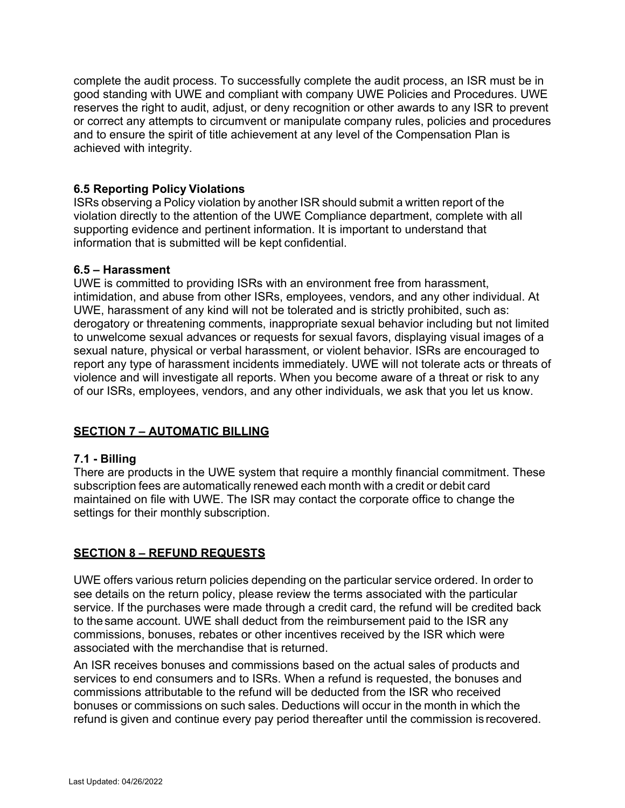complete the audit process. To successfully complete the audit process, an ISR must be in good standing with UWE and compliant with company UWE Policies and Procedures. UWE reserves the right to audit, adjust, or deny recognition or other awards to any ISR to prevent or correct any attempts to circumvent or manipulate company rules, policies and procedures and to ensure the spirit of title achievement at any level of the Compensation Plan is achieved with integrity.

# **6.5 Reporting Policy Violations**

ISRs observing a Policy violation by another ISR should submit a written report of the violation directly to the attention of the UWE Compliance department, complete with all supporting evidence and pertinent information. It is important to understand that information that is submitted will be kept confidential.

#### **6.5 – Harassment**

UWE is committed to providing ISRs with an environment free from harassment, intimidation, and abuse from other ISRs, employees, vendors, and any other individual. At UWE, harassment of any kind will not be tolerated and is strictly prohibited, such as: derogatory or threatening comments, inappropriate sexual behavior including but not limited to unwelcome sexual advances or requests for sexual favors, displaying visual images of a sexual nature, physical or verbal harassment, or violent behavior. ISRs are encouraged to report any type of harassment incidents immediately. UWE will not tolerate acts or threats of violence and will investigate all reports. When you become aware of a threat or risk to any of our ISRs, employees, vendors, and any other individuals, we ask that you let us know.

## **SECTION 7 – AUTOMATIC BILLING**

## **7.1 - Billing**

There are products in the UWE system that require a monthly financial commitment. These subscription fees are automatically renewed each month with a credit or debit card maintained on file with UWE. The ISR may contact the corporate office to change the settings for their monthly subscription.

# **SECTION 8 – REFUND REQUESTS**

UWE offers various return policies depending on the particular service ordered. In order to see details on the return policy, please review the terms associated with the particular service. If the purchases were made through a credit card, the refund will be credited back to thesame account. UWE shall deduct from the reimbursement paid to the ISR any commissions, bonuses, rebates or other incentives received by the ISR which were associated with the merchandise that is returned.

An ISR receives bonuses and commissions based on the actual sales of products and services to end consumers and to ISRs. When a refund is requested, the bonuses and commissions attributable to the refund will be deducted from the ISR who received bonuses or commissions on such sales. Deductions will occur in the month in which the refund is given and continue every pay period thereafter until the commission is recovered.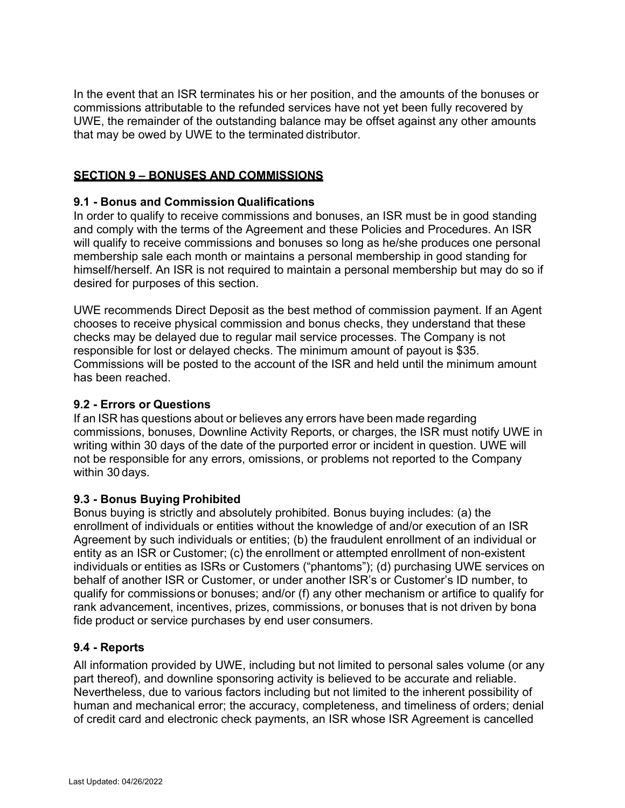In the event that an ISR terminates his or her position, and the amounts of the bonuses or commissions attributable to the refunded services have not yet been fully recovered by UWE, the remainder of the outstanding balance may be offset against any other amounts that may be owed by UWE to the terminated distributor.

#### **SECTION 9 – BONUSES AND COMMISSIONS**

## **9.1 - Bonus and Commission Qualifications**

In order to qualify to receive commissions and bonuses, an ISR must be in good standing and comply with the terms of the Agreement and these Policies and Procedures. An ISR will qualify to receive commissions and bonuses so long as he/she produces one personal membership sale each month or maintains a personal membership in good standing for himself/herself. An ISR is not required to maintain a personal membership but may do so if desired for purposes of this section.

UWE recommends Direct Deposit as the best method of commission payment. If an Agent chooses to receive physical commission and bonus checks, they understand that these checks may be delayed due to regular mail service processes. The Company is not responsible for lost or delayed checks. The minimum amount of payout is \$35. Commissions will be posted to the account of the ISR and held until the minimum amount has been reached.

## **9.2 - Errors or Questions**

If an ISR has questions about or believes any errors have been made regarding commissions, bonuses, Downline Activity Reports, or charges, the ISR must notify UWE in writing within 30 days of the date of the purported error or incident in question. UWE will not be responsible for any errors, omissions, or problems not reported to the Company within 30 days.

## **9.3 - Bonus Buying Prohibited**

Bonus buying is strictly and absolutely prohibited. Bonus buying includes: (a) the enrollment of individuals or entities without the knowledge of and/or execution of an ISR Agreement by such individuals or entities; (b) the fraudulent enrollment of an individual or entity as an ISR or Customer; (c) the enrollment or attempted enrollment of non-existent individuals or entities as ISRs or Customers ("phantoms"); (d) purchasing UWE services on behalf of another ISR or Customer, or under another ISR's or Customer's ID number, to qualify for commissions or bonuses; and/or (f) any other mechanism or artifice to qualify for rank advancement, incentives, prizes, commissions, or bonuses that is not driven by bona fide product or service purchases by end user consumers.

## **9.4 - Reports**

All information provided by UWE, including but not limited to personal sales volume (or any part thereof), and downline sponsoring activity is believed to be accurate and reliable. Nevertheless, due to various factors including but not limited to the inherent possibility of human and mechanical error; the accuracy, completeness, and timeliness of orders; denial of credit card and electronic check payments, an ISR whose ISR Agreement is cancelled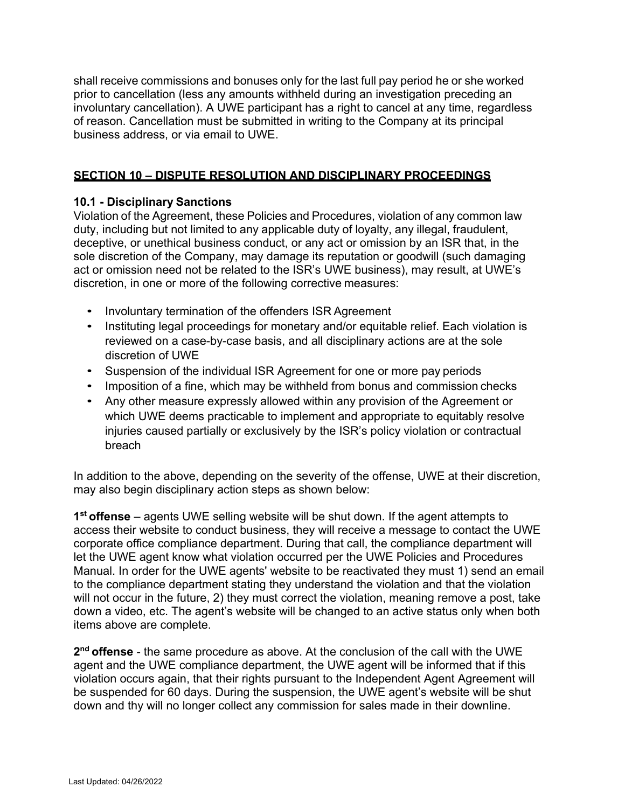shall receive commissions and bonuses only for the last full pay period he or she worked prior to cancellation (less any amounts withheld during an investigation preceding an involuntary cancellation). A UWE participant has a right to cancel at any time, regardless of reason. Cancellation must be submitted in writing to the Company at its principal business address, or via email to UWE.

#### **SECTION 10 – DISPUTE RESOLUTION AND DISCIPLINARY PROCEEDINGS**

## **10.1 - Disciplinary Sanctions**

Violation of the Agreement, these Policies and Procedures, violation of any common law duty, including but not limited to any applicable duty of loyalty, any illegal, fraudulent, deceptive, or unethical business conduct, or any act or omission by an ISR that, in the sole discretion of the Company, may damage its reputation or goodwill (such damaging act or omission need not be related to the ISR's UWE business), may result, at UWE's discretion, in one or more of the following corrective measures:

- Involuntary termination of the offenders ISR Agreement
- Instituting legal proceedings for monetary and/or equitable relief. Each violation is reviewed on a case-by-case basis, and all disciplinary actions are at the sole discretion of UWE
- Suspension of the individual ISR Agreement for one or more pay periods
- Imposition of a fine, which may be withheld from bonus and commission checks
- Any other measure expressly allowed within any provision of the Agreement or which UWE deems practicable to implement and appropriate to equitably resolve injuries caused partially or exclusively by the ISR's policy violation or contractual breach

In addition to the above, depending on the severity of the offense, UWE at their discretion, may also begin disciplinary action steps as shown below:

**1st offense** – agents UWE selling website will be shut down. If the agent attempts to access their website to conduct business, they will receive a message to contact the UWE corporate office compliance department. During that call, the compliance department will let the UWE agent know what violation occurred per the UWE Policies and Procedures Manual. In order for the UWE agents' website to be reactivated they must 1) send an email to the compliance department stating they understand the violation and that the violation will not occur in the future, 2) they must correct the violation, meaning remove a post, take down a video, etc. The agent's website will be changed to an active status only when both items above are complete.

**2nd offense** - the same procedure as above. At the conclusion of the call with the UWE agent and the UWE compliance department, the UWE agent will be informed that if this violation occurs again, that their rights pursuant to the Independent Agent Agreement will be suspended for 60 days. During the suspension, the UWE agent's website will be shut down and thy will no longer collect any commission for sales made in their downline.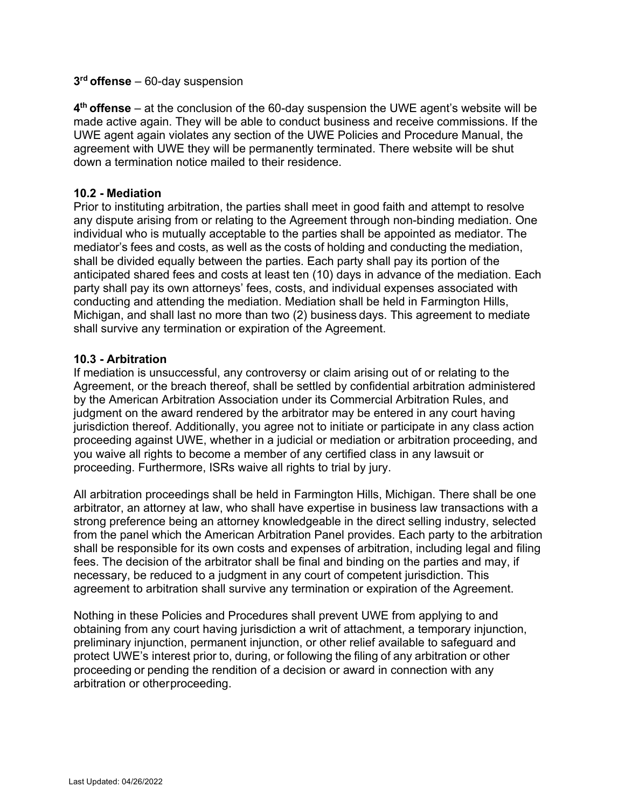#### **3rd offense** – 60-day suspension

**4th offense** – at the conclusion of the 60-day suspension the UWE agent's website will be made active again. They will be able to conduct business and receive commissions. If the UWE agent again violates any section of the UWE Policies and Procedure Manual, the agreement with UWE they will be permanently terminated. There website will be shut down a termination notice mailed to their residence.

#### **10.2 - Mediation**

Prior to instituting arbitration, the parties shall meet in good faith and attempt to resolve any dispute arising from or relating to the Agreement through non-binding mediation. One individual who is mutually acceptable to the parties shall be appointed as mediator. The mediator's fees and costs, as well as the costs of holding and conducting the mediation, shall be divided equally between the parties. Each party shall pay its portion of the anticipated shared fees and costs at least ten (10) days in advance of the mediation. Each party shall pay its own attorneys' fees, costs, and individual expenses associated with conducting and attending the mediation. Mediation shall be held in Farmington Hills, Michigan, and shall last no more than two (2) business days. This agreement to mediate shall survive any termination or expiration of the Agreement.

#### **10.3 - Arbitration**

If mediation is unsuccessful, any controversy or claim arising out of or relating to the Agreement, or the breach thereof, shall be settled by confidential arbitration administered by the American Arbitration Association under its Commercial Arbitration Rules, and judgment on the award rendered by the arbitrator may be entered in any court having jurisdiction thereof. Additionally, you agree not to initiate or participate in any class action proceeding against UWE, whether in a judicial or mediation or arbitration proceeding, and you waive all rights to become a member of any certified class in any lawsuit or proceeding. Furthermore, ISRs waive all rights to trial by jury.

All arbitration proceedings shall be held in Farmington Hills, Michigan. There shall be one arbitrator, an attorney at law, who shall have expertise in business law transactions with a strong preference being an attorney knowledgeable in the direct selling industry, selected from the panel which the American Arbitration Panel provides. Each party to the arbitration shall be responsible for its own costs and expenses of arbitration, including legal and filing fees. The decision of the arbitrator shall be final and binding on the parties and may, if necessary, be reduced to a judgment in any court of competent jurisdiction. This agreement to arbitration shall survive any termination or expiration of the Agreement.

Nothing in these Policies and Procedures shall prevent UWE from applying to and obtaining from any court having jurisdiction a writ of attachment, a temporary injunction, preliminary injunction, permanent injunction, or other relief available to safeguard and protect UWE's interest prior to, during, or following the filing of any arbitration or other proceeding or pending the rendition of a decision or award in connection with any arbitration or otherproceeding.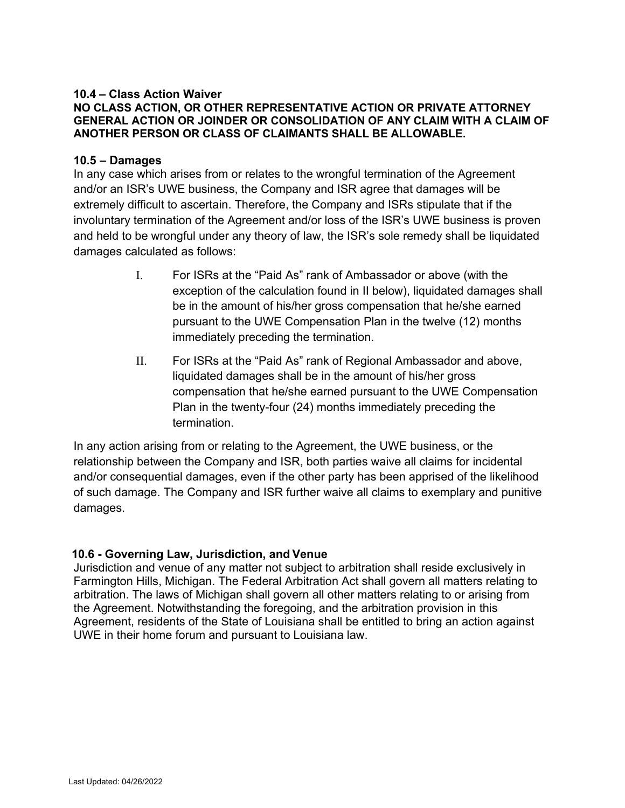## **10.4 – Class Action Waiver**

# **NO CLASS ACTION, OR OTHER REPRESENTATIVE ACTION OR PRIVATE ATTORNEY GENERAL ACTION OR JOINDER OR CONSOLIDATION OF ANY CLAIM WITH A CLAIM OF ANOTHER PERSON OR CLASS OF CLAIMANTS SHALL BE ALLOWABLE.**

#### **10.5 – Damages**

In any case which arises from or relates to the wrongful termination of the Agreement and/or an ISR's UWE business, the Company and ISR agree that damages will be extremely difficult to ascertain. Therefore, the Company and ISRs stipulate that if the involuntary termination of the Agreement and/or loss of the ISR's UWE business is proven and held to be wrongful under any theory of law, the ISR's sole remedy shall be liquidated damages calculated as follows:

- I. For ISRs at the "Paid As" rank of Ambassador or above (with the exception of the calculation found in II below), liquidated damages shall be in the amount of his/her gross compensation that he/she earned pursuant to the UWE Compensation Plan in the twelve (12) months immediately preceding the termination.
- II. For ISRs at the "Paid As" rank of Regional Ambassador and above, liquidated damages shall be in the amount of his/her gross compensation that he/she earned pursuant to the UWE Compensation Plan in the twenty-four (24) months immediately preceding the termination.

In any action arising from or relating to the Agreement, the UWE business, or the relationship between the Company and ISR, both parties waive all claims for incidental and/or consequential damages, even if the other party has been apprised of the likelihood of such damage. The Company and ISR further waive all claims to exemplary and punitive damages.

#### **10.6 - Governing Law, Jurisdiction, and Venue**

Jurisdiction and venue of any matter not subject to arbitration shall reside exclusively in Farmington Hills, Michigan. The Federal Arbitration Act shall govern all matters relating to arbitration. The laws of Michigan shall govern all other matters relating to or arising from the Agreement. Notwithstanding the foregoing, and the arbitration provision in this Agreement, residents of the State of Louisiana shall be entitled to bring an action against UWE in their home forum and pursuant to Louisiana law.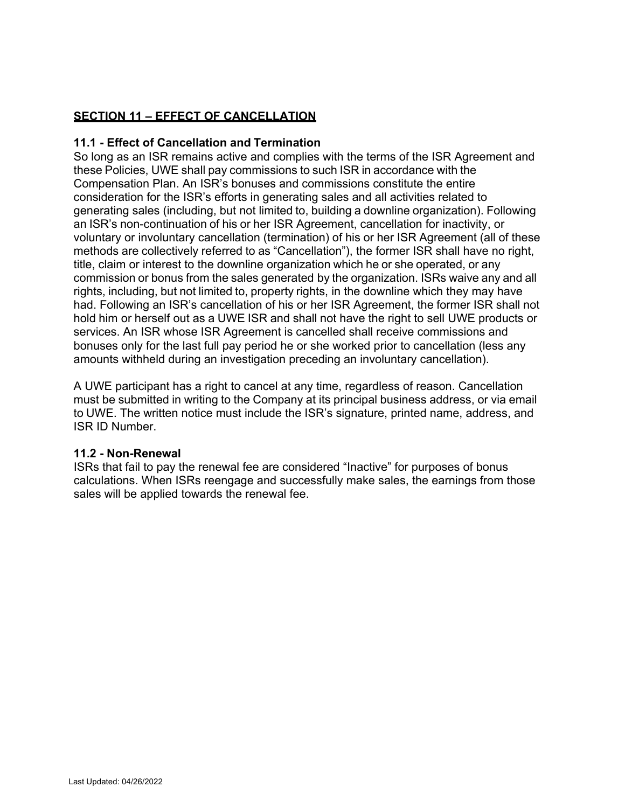# **SECTION 11 – EFFECT OF CANCELLATION**

# **11.1 - Effect of Cancellation and Termination**

So long as an ISR remains active and complies with the terms of the ISR Agreement and these Policies, UWE shall pay commissions to such ISR in accordance with the Compensation Plan. An ISR's bonuses and commissions constitute the entire consideration for the ISR's efforts in generating sales and all activities related to generating sales (including, but not limited to, building a downline organization). Following an ISR's non-continuation of his or her ISR Agreement, cancellation for inactivity, or voluntary or involuntary cancellation (termination) of his or her ISR Agreement (all of these methods are collectively referred to as "Cancellation"), the former ISR shall have no right, title, claim or interest to the downline organization which he or she operated, or any commission or bonus from the sales generated by the organization. ISRs waive any and all rights, including, but not limited to, property rights, in the downline which they may have had. Following an ISR's cancellation of his or her ISR Agreement, the former ISR shall not hold him or herself out as a UWE ISR and shall not have the right to sell UWE products or services. An ISR whose ISR Agreement is cancelled shall receive commissions and bonuses only for the last full pay period he or she worked prior to cancellation (less any amounts withheld during an investigation preceding an involuntary cancellation).

A UWE participant has a right to cancel at any time, regardless of reason. Cancellation must be submitted in writing to the Company at its principal business address, or via email to UWE. The written notice must include the ISR's signature, printed name, address, and ISR ID Number.

## **11.2 - Non-Renewal**

ISRs that fail to pay the renewal fee are considered "Inactive" for purposes of bonus calculations. When ISRs reengage and successfully make sales, the earnings from those sales will be applied towards the renewal fee.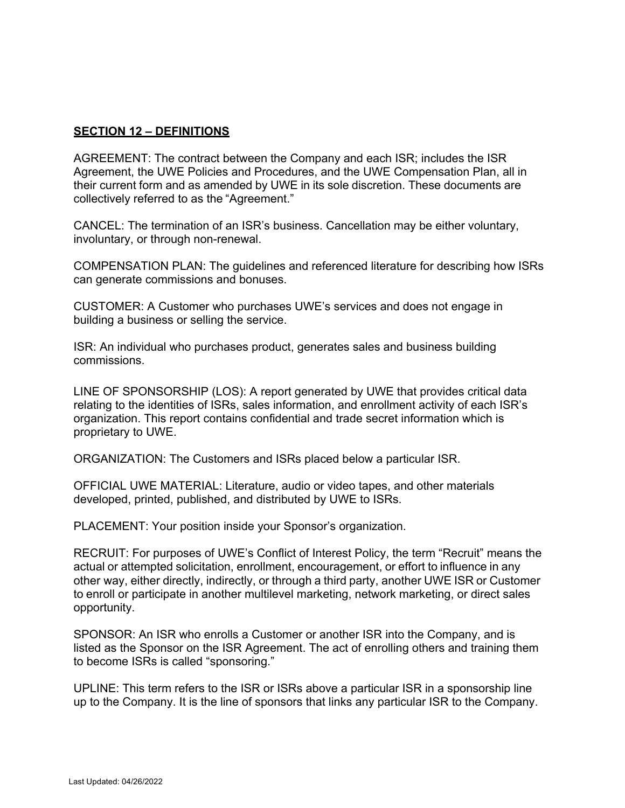# **SECTION 12 – DEFINITIONS**

AGREEMENT: The contract between the Company and each ISR; includes the ISR Agreement, the UWE Policies and Procedures, and the UWE Compensation Plan, all in their current form and as amended by UWE in its sole discretion. These documents are collectively referred to as the "Agreement."

CANCEL: The termination of an ISR's business. Cancellation may be either voluntary, involuntary, or through non-renewal.

COMPENSATION PLAN: The guidelines and referenced literature for describing how ISRs can generate commissions and bonuses.

CUSTOMER: A Customer who purchases UWE's services and does not engage in building a business or selling the service.

ISR: An individual who purchases product, generates sales and business building commissions.

LINE OF SPONSORSHIP (LOS): A report generated by UWE that provides critical data relating to the identities of ISRs, sales information, and enrollment activity of each ISR's organization. This report contains confidential and trade secret information which is proprietary to UWE.

ORGANIZATION: The Customers and ISRs placed below a particular ISR.

OFFICIAL UWE MATERIAL: Literature, audio or video tapes, and other materials developed, printed, published, and distributed by UWE to ISRs.

PLACEMENT: Your position inside your Sponsor's organization.

RECRUIT: For purposes of UWE's Conflict of Interest Policy, the term "Recruit" means the actual or attempted solicitation, enrollment, encouragement, or effort to influence in any other way, either directly, indirectly, or through a third party, another UWE ISR or Customer to enroll or participate in another multilevel marketing, network marketing, or direct sales opportunity.

SPONSOR: An ISR who enrolls a Customer or another ISR into the Company, and is listed as the Sponsor on the ISR Agreement. The act of enrolling others and training them to become ISRs is called "sponsoring."

UPLINE: This term refers to the ISR or ISRs above a particular ISR in a sponsorship line up to the Company. It is the line of sponsors that links any particular ISR to the Company.